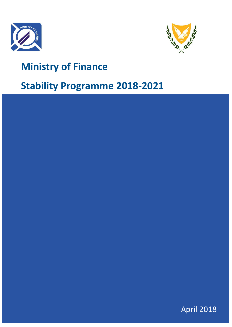



# **Ministry of Finance**

# **Stability Programme 2018-2021**

| <b>April 2018</b> |
|-------------------|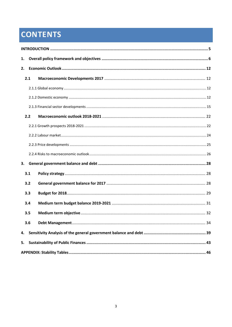# **CONTENTS**

| 1. |     |  |
|----|-----|--|
| 2. |     |  |
|    | 2.1 |  |
|    |     |  |
|    |     |  |
|    |     |  |
|    | 2.2 |  |
|    |     |  |
|    |     |  |
|    |     |  |
|    |     |  |
| 3. |     |  |
|    | 3.1 |  |
|    | 3.2 |  |
|    | 3.3 |  |
|    | 3.4 |  |
|    | 3.5 |  |
|    | 3.6 |  |
| 4. |     |  |
| 5. |     |  |
|    |     |  |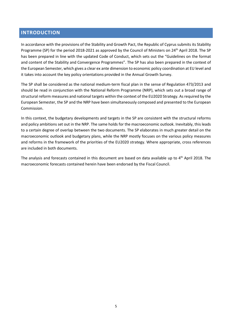# <span id="page-4-0"></span>**INTRODUCTION**

In accordance with the provisions of the Stability and Growth Pact, the Republic of Cyprus submits its Stability Programme (SP) for the period 2018-2021 as approved by the Council of Ministers on 24<sup>th</sup> April 2018. The SP has been prepared in line with the updated Code of Conduct, which sets out the "Guidelines on the format and content of the Stability and Convergence Programmes". The SP has also been prepared in the context of the European Semester, which gives a clear ex ante dimension to economic policy coordination at EU level and it takes into account the key policy orientations provided in the Annual Growth Survey.

The SP shall be considered as the national medium-term fiscal plan in the sense of Regulation 473/2013 and should be read in conjunction with the National Reform Programme (NRP), which sets out a broad range of structural reform measures and national targets within the context of the EU2020 Strategy. As required by the European Semester, the SP and the NRP have been simultaneously composed and presented to the European Commission.

In this context, the budgetary developments and targets in the SP are consistent with the structural reforms and policy ambitions set out in the NRP. The same holds for the macroeconomic outlook. Inevitably, this leads to a certain degree of overlap between the two documents. The SP elaborates in much greater detail on the macroeconomic outlook and budgetary plans, while the NRP mostly focuses on the various policy measures and reforms in the framework of the priorities of the EU2020 strategy. Where appropriate, cross references are included in both documents.

The analysis and forecasts contained in this document are based on data available up to 4<sup>th</sup> April 2018. The macroeconomic forecasts contained herein have been endorsed by the Fiscal Council.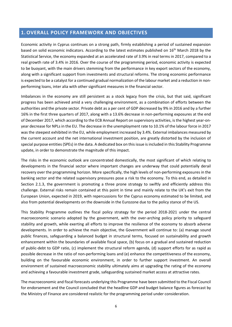# <span id="page-5-0"></span>**1. OVERALL POLICY FRAMEWORK AND OBJECTIVES**

Economic activity in Cyprus continues on a strong path, firmly establishing a period of sustained expansion based on solid economic indicators. According to the latest estimates published on 16<sup>th</sup> March 2018 by the Statistical Service, the economy expanded at an accelerated rate of 3.9% in real terms in 2017, compared to a real growth rate of 3.4% in 2016. Over the course of the programming period, economic activity is expected to be buoyant, with the main drivers stemming from the performance in key export sectors of the economy, along with a significant support from investments and structural reforms. The strong economic performance is expected to be a catalyst for a continued gradual normalization of the labour market and a reduction in nonperforming loans, inter alia with other significant measures in the financial sector.

Imbalances in the economy are still persistent as a stock legacy from the crisis, but that said, significant progress has been achieved amid a very challenging environment, as a combination of efforts between the authorities and the private sector. Private debt as a per cent of GDP decreased by 9% in 2016 and by a further 16% in the first three quarters of 2017, along with a 13.6% decrease in non-performing exposures at the end of December 2017, which according to the ECB Annual Report on supervisory activities, is the highest year-onyear decrease for NPLs in the EU. The decrease in the unemployment rate to 10.1% of the labour force in 2017 was the steepest exhibited in the EU, while employment increased by 3.4%. External imbalances measured by the current account and the net international investment position, are greatly distorted by the inclusion of special purpose entities (SPEs) in the data. A dedicated box on this issue is included in this Stability Programme update, in order to demonstrate the magnitude of this impact.

The risks in the economic outlook are concentrated domestically, the most significant of which relating to developments in the financial sector where important changes are underway that could potentially derail recovery over the programming horizon. More specifically, the high levels of non-performing exposures in the banking sector and the related supervisory pressures pose a risk to the economy. To this end, as detailed in Section 2.1.3, the government is promoting a three prone strategy to swiftly and efficiently address this challenge. External risks remain contained at this point in time and mainly relate to the UK's exit from the European Union, expected in 2019, with repercussions for the Cyprus economy estimated to be limited, and also from potential developments on the downside in the Eurozone due to the policy stance of the US.

This Stability Programme outlines the fiscal policy strategy for the period 2018-2021 under the central macroeconomic scenario adopted by the government, with the over-arching policy priority to safeguard stability and growth, while exerting all efforts to improve the resilience of the economy to absorb adverse developments. In order to achieve the main objective, the Government will continue to: (a) manage sound public finances, safeguarding a balanced budget in structural terms, focused on sustainability and growth enhancement within the boundaries of available fiscal space, (b) focus on a gradual and sustained reduction of public-debt to GDP ratio, (c) implement the structural reform agenda, (d) support efforts for as rapid as possible decrease in the ratio of non-performing loans and (e) enhance the competitiveness of the economy, building on the favourable economic environment, in order to further support investment. An overall environment of sustained macroeconomic stability ultimately aims at upgrading the rating of the economy and achieving a favourable investment grade, safeguarding sustained market access at attractive rates.

The macroeconomic and fiscal forecasts underlying this Programme have been submitted to the Fiscal Council for endorsement and the Council concluded that the headline GDP and budget balance figures as forecast by the Ministry of Finance are considered realistic for the programming period under consideration.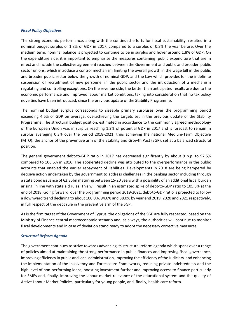#### *Fiscal Policy Objectives*

The strong economic performance, along with the continued efforts for fiscal sustainability, resulted in a nominal budget surplus of 1.8% of GDP in 2017, compared to a surplus of 0.3% the year before. Over the medium term, nominal balance is projected to continue to be in surplus and hover around 1.8% of GDP. On the expenditure side, it is important to emphasise the measures containing public expenditure that are in effect and include the collective agreement reached between the Government and public and broader public sector unions, which introduce a control mechanism limiting the overall growth in the wage bill in the public and broader public sector below the growth of nominal GDP, and the Law which provides for the indefinite suspension of recruitment of new personnel in the public sector and the introduction of a mechanism regulating and controlling exceptions. On the revenue side, the better than anticipated results are due to the economic performance and improved labour market conditions, taking into consideration that no tax policy novelties have been introduced, since the previous update of the Stability Programme.

The nominal budget surplus corresponds to sizeable primary surpluses over the programming period exceeding 4.6% of GDP on average, overachieving the targets set in the previous update of the Stability Programme. The structural budget position, estimated in accordance to the commonly agreed methodology of the European Union was in surplus reaching 1.2% of potential GDP in 2017 and is forecast to remain in surplus averaging 0.3% over the period 2018-2021, thus achieving the national Medium-Term Objective (MTO), the anchor of the preventive arm of the Stability and Growth Pact (SGP), set at a balanced structural position.

The general government debt-to-GDP ratio in 2017 has decreased significantly by about 9 p.p. to 97.5% compared to 106.6% in 2016. The accelerated decline was attributed to the overperformance in the public accounts that enabled the earlier repayment of liabilities. Developments in 2018 are being hampered by decisive action undertaken by the government to address challenges in the banking sector including through a state bond issuance of €2.35bn maturing between 15-20 years with a possibility of an additional fiscal burden arising, in line with state aid rules. This will result in an estimated spike of debt-to-GDP ratio to 105.6% at the end of 2018. Going forward, over the programming period 2019-2021, debt-to-GDP ratio is projected to follow a downward trend declining to about 100.0%, 94.6% and 88.0% by year end 2019, 2020 and 2021 respectively, in full respect of the debt rule in the preventive arm of the SGP.

As is the firm target of the Government of Cyprus, the obligations of the SGP are fully respected, based on the Ministry of Finance central macroeconomic scenario and, as always, the authorities will continue to monitor fiscal developments and in case of deviation stand ready to adopt the necessary corrective measures.

#### *Structural Reform Agenda*

The government continues to strive towards advancing its structural reform agenda which spans over a range of policies aimed at maintaining the strong performance in public finances and improving fiscal governance, improving efficiency in public and local administration, improving the efficiency of the Judiciary and enhancing the implementation of the Insolvency and Foreclosure Frameworks, reducing private indebtedness and the high level of non-performing loans, boosting investment further and improving access to finance particularly for SMEs and, finally, improving the labour market relevance of the educational system and the quality of Active Labour Market Policies, particularly for young people, and, finally, health care reform.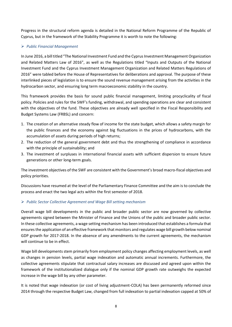Progress in the structural reform agenda is detailed in the National Reform Programme of the Republic of Cyprus, but in the framework of the Stability Programme it is worth to note the following:

## *Public Financial Management*

In June 2016, a bill titled "The National Investment Fund and the Cyprus Investment Management Organization and Related Matters Law of 2016", as well as the Regulations titled "Inputs and Outputs of the National Investment Fund and the Cyprus Investment Management Organization and Related Matters Regulations of 2016" were tabled before the House of Representatives for deliberations and approval. The purpose of these interlinked pieces of legislation is to ensure the sound revenue management arising from the activities in the hydrocarbon sector, and ensuring long term macroeconomic stability in the country.

This framework provides the basis for sound public financial management, limiting procyclicality of fiscal policy. Policies and rules for the SWF's funding, withdrawal, and spending operations are clear and consistent with the objectives of the fund. These objectives are already well specified in the Fiscal Responsibility and Budget Systems Law (FRBSL) and concern:

- 1. The creation of an alternative steady flow of income for the state budget, which allows a safety margin for the public finances and the economy against big fluctuations in the prices of hydrocarbons, with the accumulation of assets during periods of high returns;
- 2. The reduction of the general government debt and thus the strengthening of compliance in accordance with the principle of sustainability; and
- 3. The investment of surpluses in international financial assets with sufficient dispersion to ensure future generations or other long-term goals.

The investment objectives of the SWF are consistent with the Government's broad macro-fiscal objectives and policy priorities.

Discussions have resumed at the level of the Parliamentary Finance Committee and the aim is to conclude the process and enact the two legal acts within the first semester of 2018.

# *Public Sector Collective Agreement and Wage Bill setting mechanism*

Overall wage bill developments in the public and broader public sector are now governed by collective agreements signed between the Minister of Finance and the Unions of the public and broader public sector. In these collective agreements, a wage setting mechanism has been introduced that establishes a formula that ensures the application of an effective framework that monitors and regulates wage bill growth below nominal GDP growth for 2017-2018. In the absence of any amendments to the current agreements, the mechanism will continue to be in effect.

Wage bill developments stem primarily from employment policy changes affecting employment levels, as well as changes in pension levels, partial wage indexation and automatic annual increments. Furthermore, the collective agreements stipulate that contractual salary increases are discussed and agreed upon within the framework of the institutionalized dialogue only if the nominal GDP growth rate outweighs the expected increase in the wage bill by any other parameter.

It is noted that wage indexation (or cost of living adjustment-COLA) has been permanently reformed since 2014 through the respective Budget Law, changed from full indexation to partial indexation capped at 50% of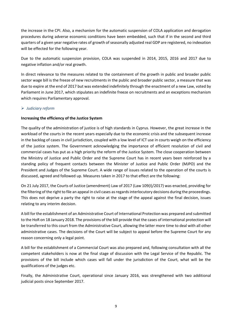the increase in the CPI. Also, a mechanism for the automatic suspension of COLA application and derogation procedures during adverse economic conditions have been embedded, such that if in the second and third quarters of a given year negative rates of growth of seasonally adjusted real GDP are registered, no indexation will be effected for the following year.

Due to the automatic suspension provision, COLA was suspended in 2014, 2015, 2016 and 2017 due to negative inflation and/or real growth.

In direct relevance to the measures related to the containment of the growth in public and broader public sector wage bill is the freeze of new recruitments in the public and broader public sector, a measure that was due to expire at the end of 2017 but was extended indefinitely through the enactment of a new Law, voted by Parliament in June 2017, which stipulates an indefinite freeze on recruitments and an exceptions mechanism which requires Parliamentary approval.

## *Judiciary reform*

## **Increasing the efficiency of the Justice System**

The quality of the administration of justice is of high standards in Cyprus. However, the great increase in the workload of the courts in the recent years especially due to the economic crisis and the subsequent increase in the backlog of cases in civil jurisdiction, coupled with a low level of ICT use in courts weigh on the efficiency of the justice system. The Government acknowledging the importance of efficient resolution of civil and commercial cases has put as a high priority the reform of the Justice System. The close cooperation between the Ministry of Justice and Public Order and the Supreme Court has in recent years been reinforced by a standing policy of frequent contacts between the Minister of Justice and Public Order (MJPO) and the President and Judges of the Supreme Court. A wide range of issues related to the operation of the courts is discussed, agreed and followed up. Measures taken in 2017 to that effect are the following:

On 21 July 2017, the Courts of Justice (amendment) Law of 2017 (Law 109(I)/2017) was enacted, providing for the filtering of the right to file an appeal in civil cases as regards interlocutory decisions during the proceedings. This does not deprive a party the right to raise at the stage of the appeal against the final decision, issues relating to any interim decision.

A bill for the establishment of an Administrative Court of International Protection was prepared and submitted to the HoR on 18 January 2018. The provisions of the bill provide that the cases of international protection will be transferred to this court from the Administrative Court, allowing the latter more time to deal with all other administrative cases. The decisions of the Court will be subject to appeal before the Supreme Court for any reason concerning only a legal point.

A bill for the establishment of a Commercial Court was also prepared and, following consultation with all the competent stakeholders is now at the final stage of discussion with the Legal Service of the Republic. The provisions of the bill include which cases will fall under the jurisdiction of the Court, what will be the qualifications of the judges etc.

Finally, the Administrative Court, operational since January 2016, was strengthened with two additional judicial posts since September 2017.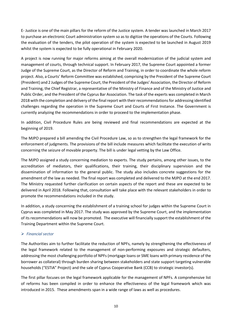E- Justice is one of the main pillars for the reform of the Justice system. A tender was launched in March 2017 to purchase an electronic Court administration system so as to digitize the operations of the Courts. Following the evaluation of the tenders, the pilot operation of the system is expected to be launched in August 2019 whilst the system is expected to be fully operational in February 2020.

A project is now running for major reforms aiming at the overall modernization of the judicial system and management of courts, through technical support. In February 2017, the Supreme Court appointed a former Judge of the Supreme Court, as the Director of Reform and Training, in order to coordinate the whole reform project. Also, a Courts' Reform Committee was established, comprising by the President of the Supreme Court (President) and 2 Judges of the Supreme Court, the President of the Judges' Association, the Director of Reform and Training, the Chief Registrar, a representative of the Ministry of Finance and of the Ministry of Justice and Public Order, and the President of the Cyprus Bar Association. The task of the experts was completed in March 2018 with the completion and delivery of the final report with their recommendations for addressing identified challenges regarding the operation in the Supreme Court and Courts of First Instance. The Government is currently analyzing the recommendations in order to proceed to the implementation phase.

In addition, Civil Procedure Rules are being reviewed and final recommendations are expected at the beginning of 2019.

The MJPO prepared a bill amending the Civil Procedure Law, so as to strengthen the legal framework for the enforcement of judgments. The provisions of the bill include measures which facilitate the execution of writs concerning the seizure of movable property. The bill is under legal vetting by the Law Office.

The MJPO assigned a study concerning mediation to experts. The study pertains, among other issues, to the accreditation of mediators, their qualifications, their training, their disciplinary supervision and the dissemination of information to the general public. The study also includes concrete suggestions for the amendment of the law as needed. The final report was completed and delivered to the MJPO at the end 2017. The Ministry requested further clarification on certain aspects of the report and these are expected to be delivered in April 2018. Following that, consultation will take place with the relevant stakeholders in order to promote the recommendations included in the study.

In addition, a study concerning the establishment of a training school for judges within the Supreme Court in Cyprus was completed in May 2017. The study was approved by the Supreme Court, and the implementation of its recommendations will now be promoted. The executive will financially support the establishment of the Training Department within the Supreme Court.

## *Financial sector*

The Authorities aim to further facilitate the reduction of NPFs, namely by strengthening the effectiveness of the legal framework related to the management of non-performing exposures and strategic defaulters, addressing the most challenging portfolio of NPFs (mortgage loans or SME loans with primary residence of the borrower as collateral) through burden sharing between stakeholders and state support targeting vulnerable households ("ESTIA" Project) and the sale of Cyprus Cooperative Bank (CCB) to strategic investor(s).

The first pillar focuses on the legal framework applicable for the management of NPFs. A comprehensive list of reforms has been compiled in order to enhance the effectiveness of the legal framework which was introduced in 2015. These amendments span in a wide range of laws as well as procedures.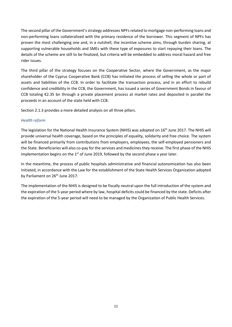The second pillar of the Government's strategy addresses NPFs related to mortgage non-performing loans and non-performing loans collateralized with the primary residence of the borrower. This segment of NPFs has proven the most challenging one and, in a nutshell, the incentive scheme aims, through burden sharing, at supporting vulnerable households and SMEs with these type of exposures to start repaying their loans. The details of the scheme are still to be finalized, but criteria will be embedded to address moral hazard and free rider issues.

The third pillar of the strategy focuses on the Cooperative Sector, where the Government, as the major shareholder of the Cyprus Cooperative Bank (CCB) has initiated the process of selling the whole or part of assets and liabilities of the CCB. In order to facilitate the transaction process, and in an effort to rebuild confidence and credibility in the CCB, the Government, has issued a series of Government Bonds in favour of CCB totaling €2.35 bn through a private placement process at market rates and deposited in parallel the proceeds in an account of the state held with CCB.

Section 2.1.3 provides a more detailed analysis on all three pillars.

## *Health reform*

The legislation for the National Health Insurance System (NHIS) was adopted on 16<sup>th</sup> June 2017. The NHIS will provide universal health coverage, based on the principles of equality, solidarity and free choice. The system will be financed primarily from contributions from employers, employees, the self-employed pensioners and the State. Beneficiaries will also co-pay for the services and medicines they receive. The first phase of the NHIS implementation begins on the  $1<sup>st</sup>$  of June 2019, followed by the second phase a year later.

In the meantime, the process of public hospitals administrative and financial autonomization has also been initiated, in accordance with the Law for the establishment of the State Health Services Organization adopted by Parliament on 26<sup>th</sup> June 2017.

The implementation of the NHIS is designed to be fiscally neutral upon the full introduction of the system and the expiration of the 5-year period where by law, hospital deficits could be financed by the state. Deficits after the expiration of the 5-year period will need to be managed by the Organization of Public Health Services.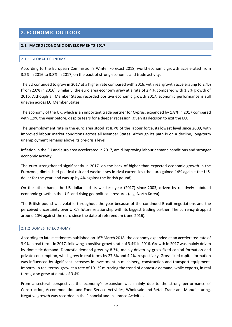# <span id="page-11-0"></span>**2. ECONOMIC OUTLOOK**

#### <span id="page-11-2"></span><span id="page-11-1"></span>**2.1 MACROECONOMIC DEVELOPMENTS 2017**

### 2.1.1 GLOBAL ECONOMY

According to the European Commission's Winter Forecast 2018, world economic growth accelerated from 3.2% in 2016 to 3.8% in 2017, on the back of strong economic and trade activity.

The EU continued to grow in 2017 at a higher rate compared with 2016, with real growth accelerating to 2.4% (from 2.0% in 2016). Similarly, the euro area economy grew at a rate of 2.4%, compared with 1.8% growth of 2016. Although all Member States recorded positive economic growth 2017, economic performance is still uneven across EU Member States.

The economy of the UK, which is an important trade partner for Cyprus, expanded by 1.8% in 2017 compared with 1.9% the year before, despite fears for a deeper recession, given its decision to exit the EU.

The unemployment rate in the euro area stood at 8.7% of the labour force, its lowest level since 2009, with improved labour market conditions across all Member States. Although its path is on a decline, long-term unemployment remains above its pre-crisis level.

Inflation in the EU and euro area accelerated in 2017, amid improving labour demand conditions and stronger economic activity.

The euro strengthened significantly in 2017, on the back of higher than expected economic growth in the Eurozone, diminished political risk and weaknesses in rival currencies (the euro gained 14% against the U.S. dollar for the year, and was up by 4% against the British pound).

On the other hand, the US dollar had its weakest year (2017) since 2003, driven by relatively subdued economic growth in the U.S. and rising geopolitical pressures (e.g. North Korea).

The British pound was volatile throughout the year because of the continued Brexit-negotiations and the perceived uncertainty over U.K.'s future relationship with its biggest trading partner. The currency dropped around 20% against the euro since the date of referendum (June 2016).

#### <span id="page-11-3"></span>2.1.2 DOMESTIC ECONOMY

According to latest estimates published on 16<sup>th</sup> March 2018, the economy expanded at an accelerated rate of 3.9% in real terms in 2017, following a positive growth rate of 3.4% in 2016. Growth in 2017 was mainly driven by domestic demand. Domestic demand grew by 8.3%, mainly driven by gross fixed capital formation and private consumption, which grew in real terms by 27.8% and 4.2%, respectively. Gross fixed capital formation was influenced by significant increases in investment in machinery, construction and transport equipment. Imports, in real terms, grew at a rate of 10.1% mirroring the trend of domestic demand, while exports, in real terms, also grew at a rate of 3.4%.

From a sectoral perspective, the economy's expansion was mainly due to the strong performance of Construction, Accommodation and Food Service Activities, Wholesale and Retail Trade and Manufacturing. Negative growth was recorded in the Financial and Insurance Activities.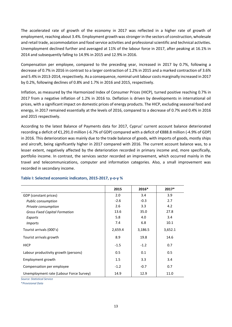The accelerated rate of growth of the economy in 2017 was reflected in a higher rate of growth of employment, reaching about 3.4%. Employment growth was stronger in the sectors of construction, wholesale and retail trade, accommodation and food service activities and professional scientific and technical activities. Unemployment declined further and averaged at 11% of the labour force in 2017, after peaking at 16.1% in 2014 and subsequently falling to 14.9% in 2015 and 12.9% in 2016.

Compensation per employee, compared to the preceding year, increased in 2017 by 0.7%, following a decrease of 0.7% in 2016 in contrast to a larger contraction of 1.2% in 2015 and a marked contraction of 3.6% and 5.4% in 2013-2014, respectively. As a consequence, nominal unit labour costs marginally increased in 2017 by 0.2%, following declines of 0.8% and 1.7% in 2016 and 2015, respectively.

Inflation, as measured by the Harmonized Index of Consumer Prices (HICP), turned positive reaching 0.7% in 2017 from a negative inflation of 1.2% in 2016 to. Deflation is driven by developments in international oil prices, with a significant impact on domestic prices of energy products. The HICP, excluding seasonal food and energy, in 2017 remained essentially at the levels of 2016, compared to a decrease of 0.7% and 0.4% in 2016 and 2015 respectively.

According to the latest Balance of Payments data for 2017, Cyprus' current account balance deteriorated recording a deficit of €1,291.0 million (-6.7% of GDP) compared with a deficit of €888.8 million (-4.9% of GDP) in 2016. This deterioration was mainly due to the trade balance of goods, with imports of goods, mostly ships and aircraft, being significantly higher in 2017 compared with 2016. The current account balance was, to a lesser extent, negatively affected by the deterioration recorded in primary income and, more specifically, portfolio income. In contrast, the services sector recorded an improvement, which occurred mainly in the travel and telecommunications, computer and information categories. Also, a small improvement was recorded in secondary income.

|                                         | 2015    | 2016*   | $2017*$ |
|-----------------------------------------|---------|---------|---------|
| GDP (constant prices)                   | 2.0     | 3.4     | 3.9     |
| <b>Public consumption</b>               | $-2.6$  | $-0.3$  | 2.7     |
| Private consumption                     | 2.6     | 3.3     | 4.2     |
| <b>Gross Fixed Capital Formation</b>    | 13.6    | 35.0    | 27.8    |
| Exports                                 | 5.8     | 4.0     | 3.4     |
| <i>Imports</i>                          | 7.4     | 6.8     | 10.1    |
| Tourist arrivals (000's)                | 2,659.4 | 3,186.5 | 3,652.1 |
| Tourist arrivals growth                 | 8.9     | 19.8    | 14.6    |
| <b>HICP</b>                             | $-1.5$  | $-1.2$  | 0.7     |
| Labour productivity growth (persons)    | 0.5     | 0.1     | 0.5     |
| Employment growth                       | 1.5     | 3.3     | 3.4     |
| Compensation per employee               | $-1.2$  | $-0.7$  | 0.7     |
| Unemployment rate (Labour Force Survey) | 14.9    | 12.9    | 11.0    |

# **Table I: Selected economic indicators, 2015-2017, y-o-y %**

*Source: Statistical Service* 

\**Provisional Data*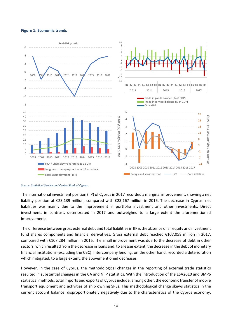#### **Figure 1: Economic trends**



*Source: Statistical Service and Central Bank of Cyprus* 

The international investment position (IIP) of Cyprus in 2017 recorded a marginal improvement, showing a net liability position at €23,139 million, compared with €23,167 million in 2016. The decrease in Cyprus' net liabilities was mainly due to the improvement in portfolio investment and other investments. Direct investment, in contrast, deteriorated in 2017 and outweighed to a large extent the aforementioned improvements.

The difference between gross external debt and total liabilities in IIP is the absence of all equity and investment fund shares components and financial derivatives. Gross external debt reached €107,058 million in 2017, compared with €107,284 million in 2016. The small improvement was due to the decrease of debt in other sectors, which resulted from the decrease in loans and, to a lesser extent, the decrease in the debt of monetary financial institutions (excluding the CBC). Intercompany lending, on the other hand, recorded a deterioration which mitigated, to a large extent, the abovementioned decreases.

However, in the case of Cyprus, the methodological changes in the reporting of external trade statistics resulted in substantial changes in the CA and NIIP statistics. With the introduction of the ESA2010 and BMP6 statistical methods, total imports and exports of Cyprus include, among other, the economic transfer of mobile transport equipment and activities of ship owning SPEs. This methodological change skews statistics in the current account balance, disproportionately negatively due to the characteristics of the Cyprus economy,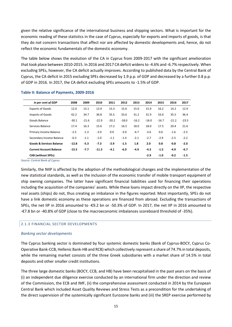given the relative significance of the international business and shipping sectors. What is important for the economic reading of these statistics in the case of Cyprus, especially for exports and imports of goods, is that they do not concern transactions that affect nor are affected by domestic developments and, hence, do not reflect the economic fundamentals of the domestic economy.

The table below shows the evolution of the CA in Cyprus from 2009-2017 with the significant amelioration that took place between 2010-2015. In 2016 and 2017 CA deficit widens to -4.6% and -6.7% respectively. When excluding SPEs, however, the CA deficit actually improves. According to published data by the Central Bank of Cyprus, the CA deficit in 2015 excluding SPEs decreased by 1.9 p.p. of GDP and decreased by a further 0.8 p.p. of GDP in 2016. In 2017, the CA deficit excluding SPEs amounts to -1.5% of GDP.

| in per cent of GDP                  | 2008    | 2009    | 2010    | 2011    | 2012    | 2013    | 2014    | 2015    | 2016    | 2017    |
|-------------------------------------|---------|---------|---------|---------|---------|---------|---------|---------|---------|---------|
| <b>Exports of Goods</b>             | 12.0    | 13.1    | 13.9    | 15.3    | 15.6    | 15.0    | 15.9    | 16.2    | 14.2    | 12.9    |
| Imports of Goods                    | 42.2    | 34.7    | 36.8    | 35.5    | 33.6    | 31.2    | 31.9    | 33.0    | 35.5    | 36.4    |
| Goods Balance                       | $-30.1$ | $-21.6$ | $-22.9$ | $-20.2$ | $-18.0$ | $-16.2$ | $-16.0$ | $-16.7$ | $-21.2$ | $-23.5$ |
| Services Balance                    | 17.4    | 16.3    | 15.6    | 17.2    | 16.5    | 18.0    | 18.0    | 17.5    | 20.4    | 21.6    |
| Primary Income Balance              | $-2.5$  | $-1.3$  | $-3.0$  | 0.0     | $-3.0$  | $-4.7$  | $-3.6$  | 0.6     | $-1.6$  | $-2.5$  |
| Secondary Income Balance            | $-0.3$  | $-1.1$  | $-1.0$  | $-1.1$  | $-1.4$  | $-2.1$  | $-2.7$  | $-2.9$  | $-2.5$  | $-2.2$  |
| <b>Goods &amp; Services Balance</b> | $-12.8$ | $-5.3$  | $-7.3$  | $-2.9$  | $-1.5$  | 1.8     | 2.0     | 0.8     | $-0.8$  | $-2.0$  |
| <b>Current Account Balance</b>      | $-15.5$ | $-7.7$  | $-11.3$ | $-4.1$  | $-6.0$  | $-4.9$  | $-4.3$  | $-1.5$  | $-4.9$  | $-6.7$  |
| <b>CAB</b> (without SPEs)           |         |         |         |         |         |         | $-2.9$  | $-1.0$  | $-0.2$  | $-1.5$  |

#### **Table II: Balance of Payments, 2009-2016**

*Source: Central Bank of Cyprus* 

Similarly, the NIIP is affected by the adoption of the methodological changes and the implementation of the new statistical standards, as well as the inclusion of the economic transfer of mobile transport equipment of ship owning companies. The latter have significant financial liabilities used for financing their operations including the acquisition of the companies' assets. While these loans impact directly on the IIP, the respective real assets (ships) do not, thus creating an imbalance in the figures reported. Most importantly, SPEs do not have a link domestic economy as these operations are financed from abroad. Excluding the transactions of SPEs, the net IIP in 2016 amounted to -€9.2 bn or -50.3% of GDP. In 2017, the net IIP in 2016 amounted to -€7.8 bn or -40.8% of GDP (close to the macroeconomic imbalances scoreboard threshold of -35%).

#### <span id="page-14-0"></span>2.1.3 FINANCIAL SECTOR DEVELOPMENTS

#### *Banking sector developments*

The Cyprus banking sector is dominated by four systemic domestic banks (Bank of Cyprus-BOCY, Cyprus Co-Operative Bank-CCB, Hellenic Bank-HB and RCB) which collectively represent a share of 74.7% in total deposits, while the remaining market consists of the three Greek subsidiaries with a market share of 14.5% in total deposits and other smaller credit institutions.

The three large domestic banks (BOCY, CCB, and HB) have been recapitalised in the past years on the basis of (i) an independent due diligence exercise conducted by an international firm under the direction and review of the Commission, the ECB and IMF, (ii) the comprehensive assessment conducted in 2014 by the European Central Bank which included Asset Quality Reviews and Stress Tests as a precondition for the undertaking of the direct supervision of the systemically significant Eurozone banks and (iii) the SREP exercise performed by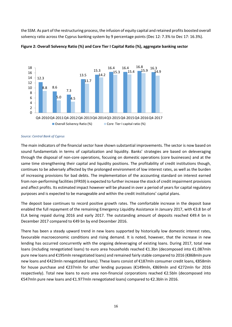the SSM. As part of the restructuring process, the infusion of equity capital and retained profits boosted overall solvency ratio across the Cyprus banking system by 9 percentage points (Dec 12: 7.3% to Dec 17: 16.3%).





#### *Source: Central Bank of Cyprus*

The main indicators of the financial sector have shown substantial improvements. The sector is now based on sound fundamentals in terms of capitalization and liquidity. Banks' strategies are based on deleveraging through the disposal of non-core operations, focusing on domestic operations (core businesses) and at the same time strengthening their capital and liquidity positions. The profitability of credit institutions though, continues to be adversely affected by the prolonged environment of low interest rates, as well as the burden of increasing provisions for bad debts. The implementation of the accounting standard on interest earned from non-performing facilities (IFRS9) is expected to further increase the stock of credit impairment provisions and affect profits. Its estimated impact however will be phased in over a period of years for capital regulatory purposes and is expected to be manageable and within the credit institutions' capital plans.

The deposit base continues to record positive growth rates. The comfortable increase in the deposit base enabled the full repayment of the remaining Emergency Liquidity Assistance in January 2017, with €3.8 bn of ELA being repaid during 2016 and early 2017. The outstanding amount of deposits reached €49.4 bn in December 2017 compared to €49 bn by end December 2016.

There has been a steady upward trend in new loans supported by historically low domestic interest rates, favourable macroeconomic conditions and rising demand. It is noted, however, that the increase in new lending has occurred concurrently with the ongoing deleveraging of existing loans. During 2017, total new loans (including renegotiated loans) to euro area households reached €1.3bn (decomposed into €1.087mln pure new loans and €195mln renegotiated loans) and remained fairly stable compared to 2016 (€868mln pure new loans and €423mln renegotiated loans). These loans consist of €187mln consumer credit loans, €858mln for house purchase and €237mln for other lending purposes (€149mln, €869mln and €272mln for 2016 respectively). Total new loans to euro area non-financial corporations reached €2.5bln (decomposed into €547mln pure new loans and €1.977mln renegotiated loans) compared to €2.3bln in 2016.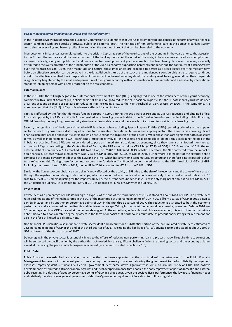#### *Box 1: Macroeconomic imbalances in Cyprus and the real economy*

In the in-depth review (IDR) of 2018, the European Commission (EC) identifies that Cyprus faces important imbalances in the form of a weak financial sector, combined with large stocks of private, public, and external debt. The high ratio of non-performing loans in the domestic banking system constrains deleveraging and banks' profitability, reducing the amount of credit that can be channeled to the economy.

Macroeconomic imbalances accumulated prior to the crisis in Cyprus as part of the overheating of the economy in the years prior to the accession to the EU and the euroarea and the overexpansion of the banking sector. At the onset of the crisis, imbalances exacerbated as unemployment increased radically, along with public debt and financial sector developments. A gradual correction has been taking place over the years, especially attributed to the swift correction of the fundamentals of the Cyprus economy, supporting increased confidence and the continuity of a strong growth over the forecast horizon. Given their magnitude and nature, these imbalances are expected to persist as a stock legacy over the medium term before an effective correction can be portrayed in the data. Although the size of the stock of the imbalances is considerably large to require continued effort to be effectively rectified, the interpretation of their impact on the real economy should be carefully read, bearing in mind that their magnitude is significantly heightened by the small and open nature of the Cyprus economy with an international business center and a sizeable, by international standards, shipping sector with a small footprint on the real economy.

#### **External Balance**

In the 2018 IDR, the still high negative Net International Investment Position (NIIP) is highlighted as one of the imbalances of the Cyprus economy, combined with a Current Account (CA) deficit that is not small enough to reduce the NIIP position. In particular, the EC notes that Cyprus would need a current-account balance close to zero to reduce its NIIP, excluding SPEs, to the MIP threshold of -35% of GDP by 2026. At the same time, it is acknowledged that the (NIIP) of Cyprus is adversely affected by two factors.

First, it is affected by the fact that domestic funding sources in Cyprus during the crisis were scarce and as Cyprus requested and obtained official financial support by the ESM and the IMF have resulted in refinancing domestic debt through foreign financing sources including official financing. Official financing has very long-term maturity structure at favourable rates and therefore is not exposed to short term refinancing risks.

Second, the significance of the large and negative NIIP is reduced when excluding Special Purpose Entities (SPEs) operating primarily in the shipping sector, which for Cyprus have a distorting effect due to the sizeable international business and shipping sector. These companies have significant financial liabilities abroad and in particular loans which are used for the acquisition of their assets. While these loans are significant both in absolute terms, as well as in percentage to GDP, significantly impact negatively IIP, the respective real assets (ships) do not, thus explaining the bulk of the imbalance recorded. These SPEs are not considered to pose an immediate risk to domestic economy, since they have a small footprint on the real economy of Cyprus. According to the Central Bank of Cyprus, the NIIP stood at minus €23.2 bn (-127.2% of GDP) in 2016. As of end-2016, the net external debt of non-financial SPEs reached EUR 14.0 billion, or -76.8% of GDP (and 60.4% of NIIP). Therefore, the NIIP corrected from the impact of non-financial SPEs' own movable equipment was -71% of GDP in 2015 and -50.3% of GDP in 2016. Furthermore, a large part of the external debt is composed of general government debt to the ESM and the IMF, which has a very long term maturity structure and therefore is not exposed to short term refinancing risk. Taking these factors into account, the "underlying" NIIP could be considered closer to the MIP threshold of -35% of GDP. Excluding the transactions of SPEs in 2017, the net IIP in 2016 amounted to -€7.8 bn or -40.8% of GDP.

Similarly, the Current Account balance is also significantly affected by the activity of SPEs due to the size of the economy and the value of their assets, through the registration and deregistration of ships, which are recorded as imports and exports respectively. The current account deficit in 2016 rose to 4.9% of GDP, albeit adjusting for the impact from SPEs, the current-account deficit in 2016 was only marginal at about 0.2% of GDP. In 2017, the CA deficit excluding SPEs is limited to -1.5% of GDP, as opposed to -6.7% of GDP when including SPEs.

#### **Private Debt**

Private debt as a percentage of GDP stands high in Cyprus. At the end of the third quarter of 2017 it stood at about 328% of GDP. The private debt ratio declined at one of the highest rates in the EU, of the magnitude of 9 percentage points of GDP in 2016 (from 353.5% of GDP in 2015 down to 344.6% in 2016) and by another 16 percentage points of GDP in the first three quarters of 2017. The reduction is attributed to both the economic performance and via increased debt write-offs and debt-to-asset swaps. Taking into account fundamental benchmarks, Household Debt in 2016 was 16 percentage points of GDP above what fundamentals suggest. At the same time, as far as households are concerned, it is worth to note that private debt is backed to a considerable degree by assets in the form of deposits that households accumulate as precautionary savings for retirement and also in the face of limited social safety nets.

Non-financial SPEs liabilities also influence private sector debt and account for a substantial portion of the accumulated private debt estimated at 78.8 percentage points of GDP at the end of the third quarter of 2017. Excluding the liabilities of SPEs', private sector debt stood at about 250% of GDP at the end of the third quarter of 2017.

Deleveraging in the private sector is essentially linked to the efforts of reducing non-performing loans, a process that will require time to correct and will be supported by specific action by the authorities, acknowledging this significant challenge facing the banking sector and the economy at large, aimed at increasing the pace at which progress is achieved (as analysed in detail in Section 2.1.3)

#### **Public Debt**

Public finances have exhibited a sustained correction that has been supported by the structural reforms introduced in the Public Financial Management framework in the recent years, thus creating the necessary space and allowing the government to perform liability management exercises improving debt sustainability. General government debt came down significantly in 2017, to around 97.5% of GDP. This positive development is attributed to strong economic growth and fiscal overperformance that enabled the early repayment of part of domestic and external debt, resulting in a decline of about 9 percentage points of GDP in a single year. Given the positive fiscal performance, the low gross financing needs and relatively low short-term general government debt, the Cyprus economy does not face short term financing risks.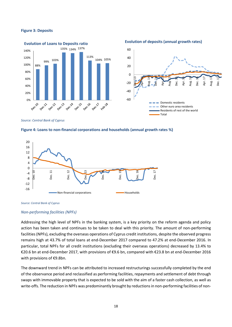#### **Figure 3: Deposits**



*Source: Central Bank of Cyprus* 







#### *Non-performing facilities (NPFs)*

Addressing the high level of NPFs in the banking system, is a key priority on the reform agenda and policy action has been taken and continues to be taken to deal with this priority. The amount of non-performing facilities (NPFs), excluding the overseas operations of Cyprus credit institutions, despite the observed progress remains high at 43.7% of total loans at end-December 2017 compared to 47.2% at end-December 2016. In particular, total NPFs for all credit institutions (excluding their overseas operations) decreased by 13.4% to €20.6 bn at end-December 2017, with provisions of €9.6 bn, compared with €23.8 bn at end-December 2016 with provisions of €9.8bn.

The downward trend in NPFs can be attributed to increased restructurings successfully completed by the end of the observance period and reclassified as performing facilities, repayments and settlement of debt through swaps with immovable property that is expected to be sold with the aim of a faster cash collection, as well as write-offs. The reduction in NPFs was predominantly brought by reductions in non-performing facilities of non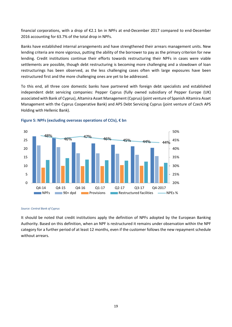financial corporations, with a drop of €2.1 bn in NPFs at end-December 2017 compared to end-December 2016 accounting for 63.7% of the total drop in NPFs.

Banks have established internal arrangements and have strengthened their arrears management units. New lending criteria are more vigorous, putting the ability of the borrower to pay as the primary criterion for new lending. Credit institutions continue their efforts towards restructuring their NPFs in cases were viable settlements are possible, though debt restructuring is becoming more challenging and a slowdown of loan restructurings has been observed, as the less challenging cases often with large exposures have been restructured first and the more challenging ones are yet to be addressed.

To this end, all three core domestic banks have partnered with foreign debt specialists and established independent debt servicing companies: Pepper Cyprus (fully owned subsidiary of Pepper Europe (UK) associated with Bank of Cyprus), Altamira Asset Management (Cyprus) (joint venture of Spanish Altamira Asset Management with the Cyprus Cooperative Bank) and APS Debt Servicing Cyprus (joint venture of Czech APS Holding with Hellenic Bank).



#### **Figure 5: NPFs (excluding overseas operations of CCIs), € bn**

#### *Source: Central Bank of Cyprus*

It should be noted that credit institutions apply the definition of NPFs adopted by the European Banking Authority. Based on this definition, when an NPF is restructured it remains under observation within the NPF category for a further period of at least 12 months, even if the customer follows the new repayment schedule without arrears.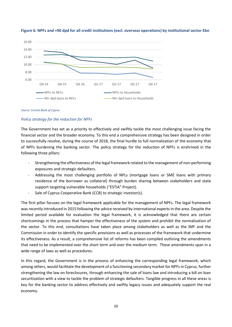

#### **Figure 6: NPFs and +90 dpd for all credit institutions (excl. overseas operations) by institutional sector €bn**

#### *Source: Central Bank of Cyprus*

#### *Policy strategy for the reduction for NPFs*

The Government has set as a priority to effectively and swiftly tackle the most challenging issue facing the financial sector and the broader economy. To this end a comprehensive strategy has been designed in order to successfully resolve, during the course of 2018, the final hurdle to full normalization of the economy that of NPFs burdening the banking sector. The policy strategy for the reduction of NPFs is enshrined in the following three pillars:

- Strengthening the effectiveness of the legal framework related to the management of non-performing exposures and strategic defaulters.
- Addressing the most challenging portfolio of NPLs (mortgage loans or SME loans with primary residence of the borrower as collateral) through burden sharing between stakeholders and state support targeting vulnerable households ("ESTIA" Project).
- Sale of Cyprus Cooperative Bank (CCB) to strategic investor(s).

The first pillar focuses on the legal framework applicable for the management of NPFs. The legal framework was recently introduced in 2015 following the advice received by international experts in the area. Despite the limited period available for evaluation the legal framework, it is acknowledged that there are certain shortcomings in the process that hamper the effectiveness of the system and prohibit the normalization of the sector. To this end, consultations have taken place among stakeholders as well as the IMF and the Commission in order to identify the specific provisions as well as processes of the framework that undermine its effectiveness. As a result, a comprehensive list of reforms has been compiled outlining the amendments that need to be implemented over the short term and over the medium term. These amendments span in a wide range of laws as well as procedures.

In this regard, the Government is in the process of enhancing the corresponding legal framework, which among others, would facilitate the development of a functioning secondary market for NPFs in Cyprus, further strengthening the law on foreclosures, through enhancing the sale of loans law and introducing a bill on loan securitization with a view to tackle the problem of strategic defaulters. Tangible progress in all these areas is key for the banking sector to address effectively and swiftly legacy issues and adequately support the real economy.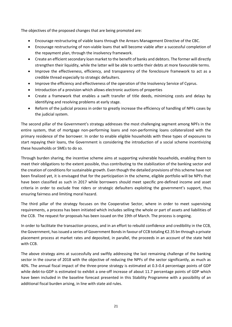The objectives of the proposed changes that are being promoted are:

- Encourage restructuring of viable loans through the Arrears Management Directive of the CBC.
- Encourage restructuring of non-viable loans that will become viable after a successful completion of the repayment plan, through the insolvency framework.
- Create an efficient secondary loan market to the benefit of banks and debtors. The former will directly strengthen their liquidity, while the latter will be able to settle their debts at more favourable terms.
- Improve the effectiveness, efficiency, and transparency of the foreclosure framework to act as a credible thread especially to strategic defaulters.
- Improve the efficiency and effectiveness of the operation of the Insolvency Service of Cyprus.
- Introduction of a provision which allows electronic auctions of properties
- Create a framework that enables a swift transfer of title deeds, minimizing costs and delays by identifying and resolving problems at early stage.
- Reform of the judicial process in order to greatly increase the efficiency of handling of NPFs cases by the judicial system.

The second pillar of the Government's strategy addresses the most challenging segment among NPFs in the entire system, that of mortgage non-performing loans and non-performing loans collateralized with the primary residence of the borrower. In order to enable eligible households with these types of exposures to start repaying their loans, the Government is considering the introduction of a social scheme incentivizing these households or SMEs to do so.

Through burden sharing, the incentive scheme aims at supporting vulnerable households, enabling them to meet their obligations to the extent possible, thus contributing to the stabilization of the banking sector and the creation of conditions for sustainable growth. Even though the detailed provisions of this scheme have not been finalized yet, it is envisaged that for the participation in the scheme, eligible portfolio will be NPFs that have been classified as such in 2017 while borrowers should meet specific pre-defined income and asset criteria in order to exclude free riders or strategic defaulters exploiting the government's support, thus ensuring fairness and limiting moral hazard.

The third pillar of the strategy focuses on the Cooperative Sector, where in order to meet supervising requirements, a process has been initiated which includes selling the whole or part of assets and liabilities of the CCB. The request for proposals has been issued on the 19th of March. The process is ongoing.

In order to facilitate the transaction process, and in an effort to rebuild confidence and credibility in the CCB, the Government, has issued a series of Government Bonds in favour of CCB totaling €2.35 bn through a private placement process at market rates and deposited, in parallel, the proceeds in an account of the state held with CCB.

The above strategy aims at successfully and swiftly addressing the last remaining challenge of the banking sector in the course of 2018 with the objective of reducing the NPFs of the sector significantly, as much as 40%. The annual fiscal impact of the three-prone strategy is estimated at 0.3-0.4 percentage points of GDP while debt-to-GDP is estimated to exhibit a one-off increase of about 11.7 percentage points of GDP which have been included in the baseline forecast presented in this Stability Programme with a possibility of an additional fiscal burden arising, in line with state aid rules.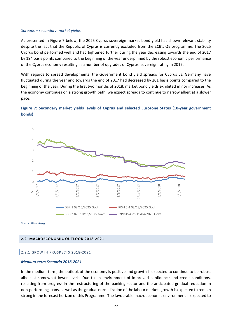#### *Spreads – secondary market yields*

As presented in Figure 7 below, the 2025 Cyprus sovereign market bond yield has shown relevant stability despite the fact that the Republic of Cyprus is currently excluded from the ECB's QE programme. The 2025 Cyprus bond performed well and had tightened further during the year decreasing towards the end of 2017 by 194 basis points compared to the beginning of the year underpinned by the robust economic performance of the Cyprus economy resulting in a number of upgrades of Cyprus' sovereign rating in 2017.

With regards to spread developments, the Government bond yield spreads for Cyprus vs. Germany have fluctuated during the year and towards the end of 2017 had decreased by 201 basis points compared to the beginning of the year. During the first two months of 2018, market bond yields exhibited minor increases. As the economy continues on a strong growth path, we expect spreads to continue to narrow albeit at a slower pace.





<span id="page-21-0"></span>*Source: Bloomberg* 

#### <span id="page-21-1"></span>**2.2 MACROECONOMIC OUTLOOK 2018-2021**

#### 2.2.1 GROWTH PROSPECTS 2018-2021

#### *Medium-term Scenario 2018-2021*

In the medium-term, the outlook of the economy is positive and growth is expected to continue to be robust albeit at somewhat lower levels. Due to an environment of improved confidence and credit conditions, resulting from progress in the restructuring of the banking sector and the anticipated gradual reduction in non-performing loans, as well as the gradual normalization of the labour market, growth is expected to remain strong in the forecast horizon of this Programme. The favourable macroeconomic environment is expected to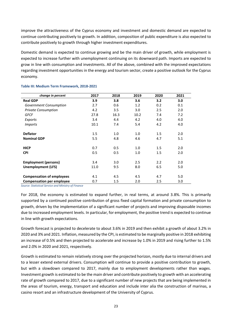improve the attractiveness of the Cyprus economy and investment and domestic demand are expected to continue contributing positively to growth. In addition, composition of public expenditure is also expected to contribute positively to growth through higher investment expenditures.

Domestic demand is expected to continue growing and be the main driver of growth, while employment is expected to increase further with unemployment continuing on its downward path. Imports are expected to grow in line with consumption and investments. All of the above, combined with the improved expectations regarding investment opportunities in the energy and tourism sector, create a positive outlook for the Cyprus economy.

| change in percent                | 2017 | 2018 | 2019 | 2020 | 2021 |
|----------------------------------|------|------|------|------|------|
| <b>Real GDP</b>                  | 3.9  | 3.8  | 3.6  | 3.2  | 3.0  |
| Government Consumption           | 2.7  | 0.6  | 1.2  | 0.2  | 0.1  |
| <b>Private Consumption</b>       | 4.2  | 3.5  | 3.0  | 2.5  | 2.0  |
| GFCF                             | 27.8 | 16.3 | 10.2 | 7.4  | 7.2  |
| Exports                          | 3.4  | 4.4  | 4.2  | 4.0  | 4.0  |
| <b>Imports</b>                   | 10.1 | 7.4  | 5.4  | 4.2  | 4.0  |
|                                  |      |      |      |      |      |
| <b>Deflator</b>                  | 1.5  | 1.0  | 1.0  | 1.5  | 2.0  |
| <b>Nominal GDP</b>               | 5.5  | 4.8  | 4.6  | 4.7  | 5.1  |
|                                  |      |      |      |      |      |
| <b>HICP</b>                      | 0.7  | 0.5  | 1.0  | 1.5  | 2.0  |
| <b>CPI</b>                       | 0.5  | 0.5  | 1.0  | 1.5  | 2.0  |
|                                  |      |      |      |      |      |
| <b>Employment (persons)</b>      | 3.4  | 3.0  | 2.5  | 2.2  | 2.0  |
| <b>Unemployment (LFS)</b>        | 11.0 | 9.5  | 8.0  | 6.5  | 5.0  |
|                                  |      |      |      |      |      |
| <b>Compensation of employees</b> | 4.1  | 4.5  | 4.5  | 4.7  | 5.0  |
| <b>Compensation per employee</b> | 0.7  | 1.5  | 2.0  | 2.5  | 3.0  |

#### **Table III: Medium Term Framework, 2018-2021**

*Source: Statistical Service and Ministry of Finance* 

For 2018, the economy is estimated to expand further, in real terms, at around 3.8%. This is primarily supported by a continued positive contribution of gross fixed capital formation and private consumption to growth, driven by the implementation of a significant number of projects and improving disposable incomes due to increased employment levels. In particular, for employment, the positive trend is expected to continue in line with growth expectations.

Growth forecast is projected to decelerate to about 3.6% in 2019 and then exhibit a growth of about 3.2% in 2020 and 3% and 2021. Inflation, measured by the CPI, is estimated to be marginally positive in 2018 exhibiting an increase of 0.5% and then projected to accelerate and increase by 1.0% in 2019 and rising further to 1.5% and 2.0% in 2020 and 2021, respectively.

Growth is estimated to remain relatively strong over the projected horizon, mostly due to internal drivers and to a lesser extend external drivers. Consumption will continue to provide a positive contribution to growth, but with a slowdown compared to 2017, mainly due to employment developments rather than wages. Investment growth is estimated to be the main driver and contribute positively to growth with an accelerating rate of growth compared to 2017, due to a significant number of new projects that are being implemented in the areas of tourism, energy, transport and education and include inter alia the construction of marinas, a casino resort and an infrastructure development of the University of Cyprus.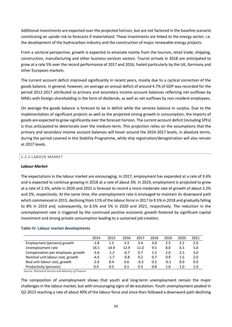Additional investments are expected over the projected horizon, but are not factored in the baseline scenario constituting an upside risk to forecasts if materialized. These investments are linked to the energy sector, i.e. the development of the hydrocarbon industry and the construction of major renewable energy projects.

From a sectoral perspective, growth is expected to emanate mainly from the tourism, retail trade, shipping, construction, manufacturing and other business services sectors. Tourist arrivals in 2018 are anticipated to grow at a rate 5% over the record performance of 2017 and 2016, fueled particularly by the UK, Germany and other European markets.

The current account deficit improved significantly in recent years, mostly due to a cyclical correction of the goods balance. In general, however, on average an annual deficit of around 4.7% of GDP was recorded for the period 2012-2017 attributed to primary and secondary income account balances reflecting net outflows by MNEs with foreign shareholding in the form of dividends, as well as net outflows by non-resident employees.

On average the goods balance is forecast to be in deficit while the services balance in surplus. Due to the implementation of significant projects as well as the projected strong growth in consumption, the imports of goods are expected to grow significantly over the forecast horizon. The current account deficit (including SPEs) is thus anticipated to deteriorate over the medium-term. This projection relies on the assumptions that the primary and secondary income account balances will hover around the 2016-2017 levels, in absolute terms, during the period covered in this Stability Programme, while ship registration/deregistration will also remain at 2017 levels.

## <span id="page-23-0"></span>2.2.2 LABOUR MARKET

#### *Labour Market*

The expectations in the labour market are encouraging. In 2017, employment has expanded at a rate of 3.4% and is expected to continue growing in 2018 at a rate of about 3%. In 2019, employment is projected to grow at a rate of 2.5%, while in 2020 and 2021 is forecast to record a more moderate rate of growth of about 2.2% and 2%, respectively. At the same time, the unemployment rate is envisaged to maintain its downward path which commenced in 2015, declining from 11% of the labour force in 2017 to 9.5% in 2018 and gradually falling to 8% in 2019 and, subsequently, to 6.5% and 5% in 2020 and 2021, respectively. The reduction in the unemployment rate is triggered by the continued positive economic growth fostered by significant capital investment and strong private consumption leading to a sustained job creation.

#### **Table IV: Labour market developments**

|                                   | 2014   | 2015   | 2016   | 2017   | 2018    | 2019   | 2020 | 2021 |
|-----------------------------------|--------|--------|--------|--------|---------|--------|------|------|
| Employment (persons) growth       | $-1.8$ | 1.5    | 3.3    | 3.4    | 3.0     | 2.5    |      | 2.0  |
| Unemployment rate                 | 16.1   | 14.9   | 12.9   | 11.0   | 9.5     | 8.0    | 6.5  | 5.0  |
| Compensation per employee, growth | $-3.6$ | $-1.2$ | $-0.7$ | 0.7    | $1.5\,$ | 2.0    | 2.5  | 3.0  |
| Nominal unit labour cost, growth  | $-4.0$ | $-1.7$ | $-0.8$ | 0.2    | 0.7     | 0.9    | 1.5  | 2.0  |
| Real unit labour cost, growth     | $-2.6$ | 0.4    | 0.6    | $-0.3$ | 0.2     | $-0.1$ | 0.0  | 0.0  |
| Productivity (persons)            | 0.4    | 0.5    | 0.1    | 0.5    | 0.8     | 1.0    | 1.0  | 1.0  |

 *Source: Statistical Service and Ministry of Finance* 

The composition of unemployment shows that youth and long-term unemployment remain the major challenges in the labour market, but with encouraging signs of de-escalation. Youth unemployment peaked in Q2-2013 reaching a rate of about 40% of the labour force and since then followed a downward path declining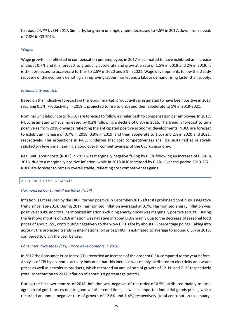to about 24.7% by Q4-2017. Similarly, long-term unemployment decreased to 4.5% in 2017, down from a peak of 7.8% in Q3 2014.

## *Wages*

Wage growth, as reflected in compensation per employee, in 2017 is estimated to have exhibited an increase of about 0.7% and it is forecast to gradually accelerate and grow at a rate of 1.5% in 2018 and 2% in 2019. It is then projected to accelerate further to 2.5% in 2020 and 3% in 2021. Wage developments follow the steady recovery of the economy denoting an improving labour market and a labour demand rising faster than supply.

## *Productivity and ULC*

Based on the indicative forecasts in the labour market, productivity is estimated to have been positive in 2017 reaching 0.5%. Productivity in 2018 is projected to rise to 0.8% and then accelerate to 1% in 2019-2021.

Nominal Unit labour costs (NULC) are forecast to follow a similar path to compensation per employee. In 2017, NULC estimated to have increased by 0.2% following a decline of 0.8% in 2016. The trend is forecast to turn positive as from 2018 onwards reflecting the anticipated positive economic developments. NULC are forecast to exhibit an increase of 0.7% in 2018, 0.9% in 2019, and then accelerate to 1.5% and 2% in 2020 and 2021, respectively. The projections in NULC underpin that cost competitiveness shall be sustained at relatively satisfactory levels maintaining a good overall competitiveness of the Cyprus economy.

Real unit labour costs (RULC) in 2017 was marginally negative falling by 0.3% following an increase of 0.6% in 2016, due to a marginally positive inflation, while in 2018 RUC increased by 0.2%. Over the period 2019-2021 RULC are forecast to remain overall stable, reflecting cost competiveness gains.

#### <span id="page-24-0"></span>2.2.3 PRICE DEVELOPMENTS

#### *Harmonised Consumer Price Index (HICP)*

Inflation, as measured by the HICP, turned positive in December-2016 after its prolonged continuous negative trend since late-2014. During 2017, harmonized inflation averaged at 0.7%. Harmonized energy inflation was positive at 8.4% and total harmonized inflation excluding energy prices was marginally positive at 0.1%. During the first two months of 2018 inflation was negative of about 0.9% mainly due to the decrease of seasonal food prices of about 15%, contributing negatively to the y-o-y HICP rate by about 0.6 percentage points. Taking into account the projected trends in international oil prices, HICP is estimated to average to around 0.5% in 2018, compared to 0.7% the year before.

#### *Consumer Price Index (CPI) - Price developments in 2018*

In 2017 the Consumer Price Index (CPI) recorded an increase of the order of 0.5% compared to the year before. Analysis of CPI by economic activity indicates that this increase was mainly attributed to electricity and water prices as well as petroleum products, which recorded an annual rate of growth of 12.1% and 7.1% respectively (total contribution to 2017 inflation of about 0.8 percentage points).

During the first two months of 2018, inflation was negative of the order of 0.5% attributed mainly to local agricultural goods prices due to good weather conditions, as well as imported industrial goods prices, which recorded an annual negative rate of growth of 12.6% and 1.4%, respectively (total contribution to January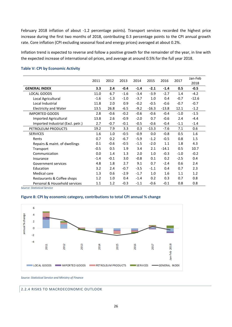February 2018 inflation of about -1.2 percentage points). Transport services recorded the highest price increase during the first two months of 2018, contributing 0.3 percentage points to the CPI annual growth rate. Core inflation (CPI excluding seasonal food and energy prices) averaged at about 0.2%.

Inflation trend is expected to reverse and follow a positive growth for the remainder of the year, in line with the expected increase of international oil prices, and average at around 0.5% for the full year 2018.

|                                   | 2011   | 2012   | 2013   | 2014   | 2015    | 2016    | 2017   | Jan-Feb |
|-----------------------------------|--------|--------|--------|--------|---------|---------|--------|---------|
|                                   |        |        |        |        |         |         |        | 2018    |
| <b>GENERAL INDEX</b>              | 3.3    | 2.4    | $-0.4$ | $-1.4$ | $-2.1$  | $-1.4$  | 0.5    | $-0.5$  |
| LOCAL GOODS                       | 11.0   | 6.7    | $-1.6$ | $-3.4$ | $-3.9$  | $-2.7$  | 1.4    | $-4.2$  |
| Local Agricultural                | $-1.6$ | $-1.3$ | $-1.0$ | $-3.7$ | 1.0     | 0.4     | $-0.7$ | $-12.6$ |
| Local Industrial                  | 11.8   | 2.0    | 0.9    | $-0.2$ | $-0.5$  | $-0.6$  | $-0.7$ | $-0.7$  |
| <b>Electricity and Water</b>      | 13.5   | 26.8   | $-6.5$ | $-9.2$ | $-16.3$ | $-13.8$ | 12.1   | $-1.2$  |
| <b>IMPORTED GOODS</b>             | 2.8    | $-0.6$ | $-0.2$ | $-0.6$ | $-0.6$  | $-0.4$  | $-1.0$ | $-1.5$  |
| Imported Agricultural             | 13.8   | 2.6    | $-0.9$ | $-2.0$ | 0.7     | $-0.6$  | 2.4    | $-4.4$  |
| Imported Industrial (Excl. petr.) | 2.7    | $-0.7$ | $-0.1$ | $-0.5$ | $-0.6$  | $-0.4$  | $-1.1$ | $-1.4$  |
| PETROLEUM PRODUCTS                | 19.2   | 7.9    | 3.3    | 0.3    | $-13.3$ | $-7.6$  | 7.1    | 0.6     |
| <b>SERVICES</b>                   | 1.6    | 1.0    | $-0.5$ | $-0.9$ | 0.0     | $-0.8$  | 0.5    | 1.6     |
| Rents                             | 0.7    | 0.2    | $-6.7$ | $-5.9$ | $-1.2$  | $-0.5$  | 0.8    | 1.5     |
| Repairs & maint. of dwellings     | 0.1    | $-0.6$ | $-0.5$ | $-1.5$ | $-2.0$  | 1.1     | 1.8    | 4.3     |
| Transport                         | $-0.5$ | 0.5    | 1.9    | 3.4    | 2.1     | $-14.1$ | 0.5    | 10.7    |
| Communication                     | 0.0    | 1.4    | 1.3    | 2.0    | 1.0     | $-0.3$  | $-1.0$ | $-0.2$  |
| Insurance                         | $-1.4$ | $-0.1$ | 3.0    | $-0.8$ | 0.1     | 0.2     | $-2.5$ | 0.4     |
| Government services               | 4.8    | 1.8    | 2.7    | 9.1    | 0.7     | $-2.4$  | 0.6    | 2.4     |
| Education                         | 3.2    | 2.4    | $-0.7$ | $-3.5$ | $-1.1$  | 0.4     | 0.7    | 2.3     |
| Medical care                      | 1.3    | 0.6    | $-2.9$ | $-1.7$ | 1.0     | 1.6     | 1.1    | 1.2     |
| Restaurants & Coffee shops        | 1.2    | 1.0    | 0.4    | $-1.4$ | 0.2     | 0.3     | 0.7    | 0.8     |
| Personal & Household services     | 1.1    | 1.2    | $-0.3$ | $-1.1$ | $-0.6$  | $-0.1$  | 0.8    | 0.8     |

#### **Table V: CPI by Economic Activity**

*Source: Statistical Service* 

#### **Figure 8: CPI by economic category, contributions to total CPI annual % change**



<span id="page-25-0"></span>*Source: Statistical Service and Ministry of Finance* 

2.2.4 RISKS TO MACROECONOMIC OUTLOOK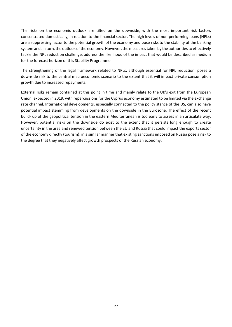The risks on the economic outlook are tilted on the downside, with the most important risk factors concentrated domestically, in relation to the financial sector. The high levels of non-performing loans (NPLs) are a suppressing factor to the potential growth of the economy and pose risks to the stability of the banking system and, in turn, the outlook of the economy. However, the measures taken by the authorities to effectively tackle the NPL reduction challenge, address the likelihood of the impact that would be described as medium for the forecast horizon of this Stability Programme.

The strengthening of the legal framework related to NPLs, although essential for NPL reduction, poses a downside risk to the central macroeconomic scenario to the extent that it will impact private consumption growth due to increased repayments.

External risks remain contained at this point in time and mainly relate to the UK's exit from the European Union, expected in 2019, with repercussions for the Cyprus economy estimated to be limited via the exchange rate channel. International developments, especially connected to the policy stance of the US, can also have potential impact stemming from developments on the downside in the Eurozone. The effect of the recent build- up of the geopolitical tension in the eastern Mediterranean is too early to assess in an articulate way. However, potential risks on the downside do exist to the extent that it persists long enough to create uncertainty in the area and renewed tension between the EU and Russia that could impact the exports sector of the economy directly (tourism), in a similar manner that existing sanctions imposed on Russia pose a risk to the degree that they negatively affect growth prospects of the Russian economy.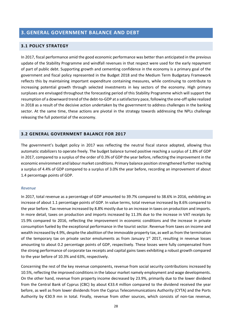# <span id="page-27-0"></span>**3. GENERAL GOVERNMENT BALANCE AND DEBT**

#### <span id="page-27-1"></span>**3.1 POLICY STRATEGY**

In 2017, fiscal performance amid the good economic performance was better than anticipated in the previous update of the Stability Programme and windfall revenues in that respect were used for the early repayment of part of public debt. Supporting growth and cementing confidence in the economy is a primary goal of the government and fiscal policy represented in the Budget 2018 and the Medium Term Budgetary Framework reflects this by maintaining important expenditure containing measures, while continuing to contribute to increasing potential growth through selected investments in key sectors of the economy. High primary surpluses are envisaged throughout the forecasting period of this Stability Programme which will support the resumption of a downward trend of the debt-to-GDP at a satisfactory pace, following the one-off spike realized in 2018 as a result of the decisive action undertaken by the government to address challenges in the banking sector. At the same time, these actions are pivotal in the strategy towards addressing the NPLs challenge releasing the full potential of the economy.

## <span id="page-27-2"></span>**3.2 GENERAL GOVERNMENT BALANCE FOR 2017**

The government's budget policy in 2017 was reflecting the neutral fiscal stance adopted, allowing thus automatic stabilizers to operate freely. The budget balance turned positive reaching a surplus of 1.8% of GDP in 2017, compared to a surplus of the order of 0.3% of GDP the year before, reflecting the improvement in the economic environment and labour market conditions. Primary balance position strengthened further reaching a surplus of 4.4% of GDP compared to a surplus of 3.0% the year before, recording an improvement of about 1.4 percentage points of GDP.

#### *Revenue*

In 2017, total revenue as a percentage of GDP amounted to 39.7% compared to 38.6% in 2016, exhibiting an increase of about 1.1 percentage points of GDP. In value terms, total revenue increased by 8.6% compared to the year before. Tax revenue increased by 8.8% mostly due to an increase in taxes on production and imports. In more detail, taxes on production and imports increased by 11.3% due to the increase in VAT receipts by 15.9% compared to 2016, reflecting the improvement in economic conditions and the increase in private consumption fueled by the exceptional performance in the tourist sector. Revenue from taxes on income and wealth increased by 4.9%, despite the abolition of the immovable property tax, as well as from the termination of the temporary tax on private sector emoluments as from January  $1<sup>st</sup>$  2017, resulting in revenue losses amounting to about 0.2 percentage points of GDP, respectively. These losses were fully compensated from the strong performance of corporate tax receipts and capital gains taxes exhibiting a robust growth compared to the year before of 10.3% and 63%, respectively.

Concerning the rest of the key revenue components, revenue from social security contributions increased by 10.5%, reflecting the improved conditions in the labour market namely employment and wage developments. On the other hand, revenue from property income decreased by 23.9%, primarily due to the lower dividend from the Central Bank of Cyprus (CBC) by about €33.4 million compared to the dividend received the year before, as well as from lower dividends from the Cyprus Telecommunications Authority (CYTA) and the Ports Authority by €30.9 mn in total. Finally, revenue from other sources, which consists of non-tax revenue,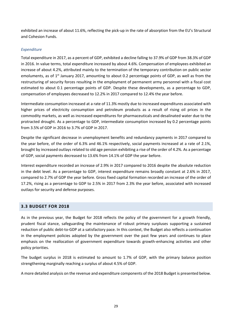exhibited an increase of about 11.6%, reflecting the pick-up in the rate of absorption from the EU's Structural and Cohesion Funds.

## *Expenditure*

Total expenditure in 2017, as a percent of GDP, exhibited a decline falling to 37.9% of GDP from 38.3% of GDP in 2016. In value terms, total expenditure increased by about 4.6%. Compensation of employees exhibited an increase of about 4.2%, attributed mainly to the termination of the temporary contribution on public sector emoluments, as of 1<sup>st</sup> January 2017, amounting to about 0.2 percentage points of GDP, as well as from the restructuring of security forces resulting in the employment of permanent army personnel with a fiscal cost estimated to about 0.1 percentage points of GDP. Despite these developments, as a percentage to GDP, compensation of employees decreased to 12.2% in 2017 compared to 12.4% the year before.

Intermediate consumption increased at a rate of 11.3% mostly due to increased expenditures associated with higher prices of electricity consumption and petroleum products as a result of rising oil prices in the commodity markets, as well as increased expenditures for pharmaceuticals and desalinated water due to the protracted drought. As a percentage to GDP, intermediate consumption increased by 0.2 percentage points from 3.5% of GDP in 2016 to 3.7% of GDP in 2017.

Despite the significant decrease in unemployment benefits and redundancy payments in 2017 compared to the year before, of the order of 6.3% and 46.1% respectively, social payments increased at a rate of 2.1%, brought by increased outlays related to old age pension exhibiting a rise of the order of 4.2%. As a percentage of GDP, social payments decreased to 13.6% from 14.1% of GDP the year before.

Interest expenditure recorded an increase of 2.9% in 2017 compared to 2016 despite the absolute reduction in the debt level. As a percentage to GDP, interest expenditure remains broadly constant at 2.6% in 2017, compared to 2.7% of GDP the year before. Gross fixed capital formation recorded an increase of the order of 17.2%, rising as a percentage to GDP to 2.5% in 2017 from 2.3% the year before, associated with increased outlays for security and defense purposes.

# <span id="page-28-0"></span>**3.3 BUDGET FOR 2018**

As in the previous year, the Budget for 2018 reflects the policy of the government for a growth friendly, prudent fiscal stance, safeguarding the maintenance of robust primary surpluses supporting a sustained reduction of public debt-to-GDP at a satisfactory pace. In this context, the Budget also reflects a continuation in the employment policies adopted by the government over the past few years and continues to place emphasis on the reallocation of government expenditure towards growth-enhancing activities and other policy priorities.

The budget surplus in 2018 is estimated to amount to 1.7% of GDP, with the primary balance position strengthening marginally reaching a surplus of about 4.5% of GDP.

A more detailed analysis on the revenue and expenditure components of the 2018 Budget is presented below.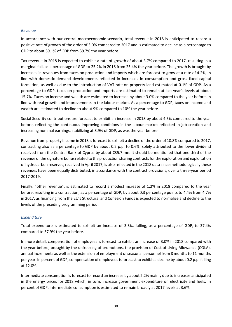## *Revenue*

In accordance with our central macroeconomic scenario, total revenue in 2018 is anticipated to record a positive rate of growth of the order of 3.0% compared to 2017 and is estimated to decline as a percentage to GDP to about 39.1% of GDP from 39.7% the year before.

Tax revenue in 2018 is expected to exhibit a rate of growth of about 3.7% compared to 2017, resulting in a marginal fall, as a percentage of GDP to 25.2% in 2018 from 25.4% the year before. The growth is brought by increases in revenues from taxes on production and imports which are forecast to grow at a rate of 4.2%, in line with domestic demand developments reflected in increases in consumption and gross fixed capital formation, as well as due to the introduction of VAT rate on property land estimated at 0.1% of GDP. As a percentage to GDP, taxes on production and imports are estimated to remain at last year's levels at about 15.7%. Taxes on income and wealth are estimated to increase by about 3.0% compared to the year before, in line with real growth and improvements in the labour market. As a percentage to GDP, taxes on income and wealth are estimated to decline to about 9% compared to 10% the year before.

Social Security contributions are forecast to exhibit an increase in 2018 by about 4.5% compared to the year before, reflecting the continuous improving conditions in the labour market reflected in job creation and increasing nominal earnings, stabilizing at 8.9% of GDP, as was the year before.

Revenue from property income in 2018 is forecast to exhibit a decline of the order of 10.8% compared to 2017, contracting also as a percentage to GDP by about 0.2 p.p. to 0.6%, solely attributed to the lower dividend received from the Central Bank of Cyprus by about €35.7 mn. It should be mentioned that one third of the revenue of the signature bonusrelated to the production sharing contracts for the exploration and exploitation of hydrocarbon reserves, received in April 2017, is also reflected in the 2018 data since methodologically these revenues have been equally distributed, in accordance with the contract provisions, over a three-year period 2017-2019.

Finally, "other revenue", is estimated to record a modest increase of 1.2% in 2018 compared to the year before, resulting in a contraction, as a percentage of GDP, by about 0.3 percentage points to 4.4% from 4.7% in 2017, as financing from the EU's Structural and Cohesion Funds is expected to normalize and decline to the levels of the preceding programming period.

## *Expenditure*

Total expenditure is estimated to exhibit an increase of 3.3%, falling, as a percentage of GDP, to 37.4% compared to 37.9% the year before.

In more detail, compensation of employees is forecast to exhibit an increase of 3.0% in 2018 compared with the year before, brought by the unfreezing of promotions, the provision of Cost of Living Allowance (COLA), annual increments as well as the extension of employment of seasonal personnel from 8 months to 11 months per year. In percent of GDP, compensation of employees is forecast to exhibit a decline by about 0.2 p.p. falling at 12.0%.

Intermediate consumption is forecast to record an increase by about 2.2% mainly due to increases anticipated in the energy prices for 2018 which, in turn, increase government expenditure on electricity and fuels. In percent of GDP, intermediate consumption is estimated to remain broadly at 2017 levels at 3.6%.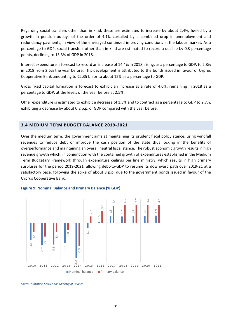Regarding social transfers other than in kind, these are estimated to increase by about 2.4%, fueled by a growth in pension outlays of the order of 4.1% curtailed by a combined drop in unemployment and redundancy payments, in view of the envisaged continued improving conditions in the labour market. As a percentage to GDP, social transfers other than in kind are estimated to record a decline by 0.3 percentage points, declining to 13.3% of GDP in 2018.

Interest expenditure is forecast to record an increase of 14.4% in 2018, rising, as a percentage to GDP, to 2.8% in 2018 from 2.6% the year before. This development is attributed to the bonds issued in favour of Cyprus Cooperative Bank amounting to €2.35 bn or to about 12% as a percentage to GDP.

Gross fixed capital formation is forecast to exhibit an increase at a rate of 4.0%, remaining in 2018 as a percentage to GDP, at the levels of the year before at 2.5%.

Other expenditure is estimated to exhibit a decrease of 1.5% and to contract as a percentage to GDP to 2.7%, exhibiting a decrease by about 0.2 p.p. of GDP compared with the year before.

## <span id="page-30-0"></span>**3.4 MEDIUM TERM BUDGET BALANCE 2019-2021**

Over the medium term, the government aims at maintaining its prudent fiscal policy stance, using windfall revenues to reduce debt or improve the cash position of the state thus locking in the benefits of overperformance and maintaining an overall neutral fiscal stance. The robust economic growth results in high revenue growth which, in conjunction with the contained growth of expenditures established in the Medium Term Budgetary Framework through expenditure ceilings per line ministry, which results in high primary surpluses for the period 2019-2021, allowing debt-to-GDP to resume its downward path over 2019-21 at a satisfactory pace, following the spike of about 8 p.p. due to the government bonds issued in favour of the Cyprus Cooperative Bank.

#### **Figure 9: Nominal Balance and Primary Balance (% GDP)**

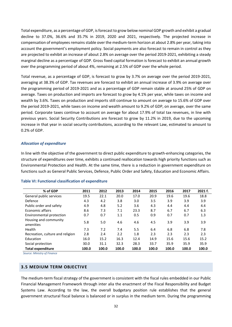Total expenditure, as a percentage of GDP, is forecast to grow below nominal GDP growth and exhibit a gradual decline to 37.0%, 36.6% and 35.7% in 2019, 2020 and 2021, respectively. The projected increase in compensation of employees remains stable over the medium-term horizon at about 2.8% per year, taking into account the government's employment policy. Social payments are also forecast to remain in control as they are projected to exhibit an increase of about 2.8% on average over the period 2019-2021, exhibiting a steady marginal decline as a percentage of GDP. Gross fixed capital formation is forecast to exhibit an annual growth over the programming period of about 4%, remaining at 2.5% of GDP over the whole period.

Total revenue, as a percentage of GDP, is forecast to grow by 3.7% on average over the period 2019-2021, averaging at 38.3% of GDP. Tax revenues are forecast to exhibit an annual increase of 3.9% on average over the programming period of 2019-2021 and as a percentage of GDP remain stable at around 25% of GDP on average. Taxes on production and imports are forecast to grow by 4.1% per year, while taxes on income and wealth by 3.6%. Taxes on production and imports still continue to amount on average to 15.6% of GDP over the period 2019-2021, while taxes on income and wealth amount to 9.2% of GDP, on average, over the same period. Corporate taxes continue to account on average for about 17.9% of total tax revenues, in line with previous years. Social Security Contributions are forecast to grow by 11.2% in 2019, due to the upcoming increase in that year in social security contributions, according to the relevant Law, estimated to amount to 0.2% of GDP.

#### *Allocation of expenditure*

In line with the objective of the government to direct public expenditure to growth-enhancing categories, the structure of expenditures over time, exhibits a continued reallocation towards high priority functions such as Environmental Protection and Health. At the same time, there is a reduction in government expenditure on functions such as General Public Services, Defence, Public Order and Safety, Education and Economic Affairs.

| % of GDP                           | 2011  | 2012  | 2013  | 2014  | 2015  | 2016  | 2017  | 2021 f. |
|------------------------------------|-------|-------|-------|-------|-------|-------|-------|---------|
| General public services            | 19.5  | 22.1  | 20.0  | 17.0  | 20.9  | 19.6  | 19.6  | 18.8    |
| Defence                            | 4.3   | 4.2   | 3.8   | 3.0   | 3.5   | 3.9   | 3.9   | 3.9     |
| Public order and safety            | 4.9   | 4.8   | 5.2   | 3.6   | 4.3   | 4.4   | 4.4   | 4.4     |
| Economic affairs                   | 8.6   | 7.3   | 7.1   | 23.3  | 8.7   | 6.7   | 6.7   | 6.3     |
| Environmental protection           | 0.7   | 0.7   | 1.1   | 0.5   | 0.9   | 0.7   | 0.7   | 1.3     |
| Housing and community<br>amenities | 5.8   | 5.0   | 4.6   | 4.6   | 4.5   | 3.9   | 3.9   | 3.9     |
| Health                             | 7.3   | 7.2   | 7.4   | 5.5   | 6.4   | 6.8   | 6.8   | 7.8     |
| Recreation, culture and religion   | 2.8   | 2.4   | 2.2   | 1.8   | 2.3   | 2.3   | 2.3   | 2.3     |
| Education                          | 16.0  | 15.2  | 16.3  | 12.4  | 14.9  | 15.6  | 15.6  | 15.2    |
| Social protection                  | 30.0  | 31.1  | 32.3  | 28.3  | 33.7  | 35.9  | 35.9  | 35.9    |
| <b>Total expenditure</b>           | 100.0 | 100.0 | 100.0 | 100.0 | 100.0 | 100.0 | 100.0 | 100.0   |

#### **Table VI: Functional classification of expenditure**

<span id="page-31-0"></span> *Source: Ministry of Finance* 

### **3.5 MEDIUM TERM OBJECTIVE**

The medium-term fiscal strategy of the government is consistent with the fiscal rules embedded in our Public Financial Management Framework through inter alia the enactment of the Fiscal Responsibility and Budget Systems Law. According to the law, the overall budgetary position rule establishes that the general government structural fiscal balance is balanced or in surplus in the medium term. During the programming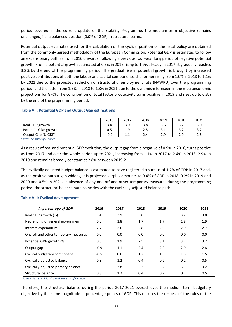period covered in the current update of the Stability Programme, the medium-term objective remains unchanged, i.e. a balanced position (0.0% of GDP) in structural terms.

Potential output estimates used for the calculation of the cyclical position of the fiscal policy are obtained from the commonly agreed methodology of the European Commission. Potential GDP is estimated to follow an expansionary path as from 2016 onwards, following a previous four-year long period of negative potential growth. From a potential growth estimated at 0.5% in 2016 rising to 1.9% already in 2017, it gradually reaches 3.2% by the end of the programming period. The gradual rise in potential growth is brought by increased positive contributions of both the labour and capital components, the former rising from 1.0% in 2018 to 1.1% by 2021 due to the projected reduction of structural unemployment rate (NAWRU) over the programming period, and the latter from 1.5% in 2018 to 1.8% in 2021 due to the dynamism foreseen in the macroeconomic projections for GFCF. The contribution of total factor productivity turns positive in 2019 and rises up to 0.3% by the end of the programming period.

## **Table VII: Potential GDP and Output Gap estimations**

|                      | 2016   | 2017 | 2018 | 2019 | 2020 | 2021 |
|----------------------|--------|------|------|------|------|------|
| Real GDP growth      | 3.4    | 3.9  | 3.8  | 3.6  | 3.2  | 3.0  |
| Potential GDP growth | 0.5    | 1.9  | 2.5  | 3.1  | 3.2  | 3.2  |
| Output Gap (% GDP)   | $-0.9$ | 1.1  | 2.4  | 2.9  | 2.9  | 2.8  |

*Source: Ministry of Finance* 

As a result of real and potential GDP evolution, the output gap from a negative of 0.9% in 2016, turns positive as from 2017 and over the whole period up to 2021, increasing from 1.1% in 2017 to 2.4% in 2018, 2.9% in 2019 and remains broadly constant at 2.8% between 2019-21.

The cyclically-adjusted budget balance is estimated to have registered a surplus of 1.2% of GDP in 2017 and, as the positive output gap widens, it is projected surplus amounts to 0.4% of GDP in 2018, 0.2% in 2019 and 2020 and 0.5% in 2021. In absence of any one-off and other temporary measures during the programming period, the structural balance path coincides with the cyclically-adjusted balance path.

| in percentage of GDP                 | 2016   | 2017 | 2018 | 2019 | 2020 | 2021 |
|--------------------------------------|--------|------|------|------|------|------|
| Real GDP growth (%)                  | 3.4    | 3.9  | 3.8  | 3.6  | 3.2  | 3.0  |
| Net lending of general government    | 0.3    | 1.8  | 1.7  | 1.7  | 1.8  | 1.9  |
| Interest expenditure                 | 2.7    | 2.6  | 2.8  | 2.9  | 2.9  | 2.7  |
| One-off and other temporary measures | 0.0    | 0.0  | 0.0  | 0.0  | 0.0  | 0.0  |
| Potential GDP growth (%)             | 0.5    | 1.9  | 2.5  | 3.1  | 3.2  | 3.2  |
| Output gap                           | $-0.9$ | 1.1  | 2.4  | 2.9  | 2.9  | 2.8  |
| Cyclical budgetary component         | $-0.5$ | 0.6  | 1.2  | 1.5  | 1.5  | 1.5  |
| Cyclically-adjusted balance          | 0.8    | 1.2  | 0.4  | 0.2  | 0.2  | 0.5  |
| Cyclically-adjusted primary balance  | 3.5    | 3.8  | 3.3  | 3.2  | 3.1  | 3.2  |
| Structural balance                   | 0.8    | 1.2  | 0.4  | 0.2  | 0.2  | 0.5  |

#### **Table VIII: Cyclical developments**

 *Source: Statistical Service and Ministry of Finance*

Therefore, the structural balance during the period 2017-2021 overachieves the medium-term budgetary objective by the same magnitude in percentage points of GDP. This ensures the respect of the rules of the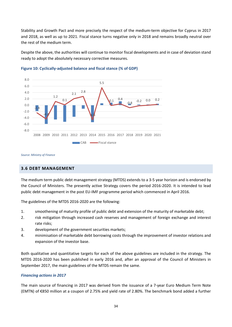Stability and Growth Pact and more precisely the respect of the medium-term objective for Cyprus in 2017 and 2018, as well as up to 2021. Fiscal stance turns negative only in 2018 and remains broadly neutral over the rest of the medium term.

Despite the above, the authorities will continue to monitor fiscal developments and in case of deviation stand ready to adopt the absolutely necessary corrective measures.



#### **Figure 10: Cyclically-adjusted balance and fiscal stance (% of GDP)**

<span id="page-33-0"></span>*Source: Ministry of Finance* 

#### **3.6 DEBT MANAGEMENT**

The medium term public debt management strategy (MTDS) extends to a 3-5 year horizon and is endorsed by the Council of Ministers. The presently active Strategy covers the period 2016-2020. It is intended to lead public debt management in the post EU-IMF programme period which commenced in April 2016.

The guidelines of the MTDS 2016-2020 are the following:

- 1. smoothening of maturity profile of public debt and extension of the maturity of marketable debt;
- 2. risk mitigation through increased cash reserves and management of foreign exchange and interest rate risks;
- 3. development of the government securities markets;
- 4. minimisation of marketable debt borrowing costs through the improvement of investor relations and expansion of the investor base.

Both qualitative and quantitative targets for each of the above guidelines are included in the strategy. The MTDS 2016-2020 has been published in early 2016 and, after an approval of the Council of Ministers in September 2017, the main guidelines of the MTDS remain the same.

#### *Financing actions in 2017*

The main source of financing in 2017 was derived from the issuance of a 7-year Euro Medium Term Note (ΕΜΤΝ) of €850 million at a coupon of 2.75% and yield rate of 2.80%. The benchmark bond added a further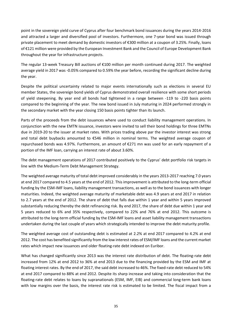point in the sovereign yield curve of Cyprus after four benchmark bond issuances during the years 2014-2016 and attracted a larger and diversified pool of investors. Furthermore, one 7-year bond was issued through private placement to meet demand by domestic investors of €300 million at a coupon of 3.25%. Finally, loans of €121 million were provided by the European Investment Bank and the Council of Europe Development Bank throughout the year for infrastructure projects.

The regular 13-week Treasury Bill auctions of €100 million per month continued during 2017. The weighted average yield in 2017 was -0.05% compared to 0.59% the year before, recording the significant decline during the year.

Despite the political uncertainty related to major events internationally such as elections in several EU member States, the sovereign bond yields of Cyprus demonstrated overall resilience with some short periods of yield steepening. By year end all bonds had tightened in a range between -119 to -220 basis points compared to the beginning of the year. The new bond issued in July maturing in 2024 performed strongly in the secondary market with the year closing 150 basis points tighter than its launch.

Parts of the proceeds from the debt issuances where used to conduct liability management operations. In conjunction with the new EMTN issuance, investors were invited to sell their bond holdings for three EMTNs due in 2019-20 to the issuer at market rates. With prices trading above par the investor interest was strong and total debt buybacks amounted to €546 million in nominal terms. The weighted average coupon of repurchased bonds was 4.97%. Furthermore, an amount of €271 mn was used for an early repayment of a portion of the IMF loan, carrying an interest rate of about 3.60%.

The debt management operations of 2017 contributed positively to the Cyprus' debt portfolio risk targets in line with the Medium-Term Debt Management Strategy.

The weighted average maturity of total debt improved considerably in the years 2013-2017 reaching 7.0 years at end 2017 compared to 4.5 years at the end of 2012. This improvement is attributed to the long-term official funding by the ESM-IMF loans, liability management transactions, as well as to the bond issuances with longer maturities. Indeed, the weighted average maturity of marketable debt was 4.9 years at end 2017 in relation to 2.7 years at the end of 2012. The share of debt that falls due within 1 year and within 5 years improved substantially reducing thereby the debt refinancing risk. By end 2017, the share of debt due within 1 year and 5 years reduced to 6% and 35% respectively, compared to 22% and 76% at end 2012. This outcome is attributed to the long-term official funding by the ESM-IMF loans and asset liability management transactions undertaken during the last couple of years which strategically intended to improve the debt maturity profile.

The weighted average cost of outstanding debt is estimated at 2.2% at end 2017 compared to 4.2% at end 2012. The cost has benefited significantly from the low interest rates of ESM/IMF loans and the current market rates which impact new issuances and older floating-rate debt indexed on Euribor.

What has changed significantly since 2013 was the interest rate distribution of debt. The floating-rate debt increased from 12% at end 2012 to 36% at end 2013 due to the financing provided by the ESM and IMF at floating interest rates. By the end of 2017, the said debt increased to 46%. The fixed-rate debt reduced to 54% at end 2017 compared to 88% at end 2012. Despite its sharp increase and taking into consideration that the floating-rate debt relates to loans by supranationals (ESM, IMF, EIB) and commercial long-term bank loans with low margins over the basis, the interest rate risk is estimated to be limited. The fiscal impact from a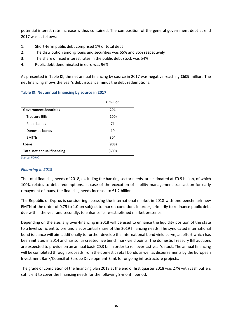potential interest rate increase is thus contained. The composition of the general government debt at end 2017 was as follows:

- 1. Short-term public debt comprised 1% of total debt
- 2. The distribution among loans and securities was 65% and 35% respectively
- 3. The share of fixed interest rates in the public debt stock was 54%
- 4. Public debt denominated in euro was 96%.

**Table IX: Net annual financing by source in 2017** 

As presented in Table IX, the net annual financing by source in 2017 was negative reaching €609 million. The net financing shows the year's debt issuance minus the debt redemptions.

|                                   | $\epsilon$ million |
|-----------------------------------|--------------------|
| <b>Government Securities</b>      | 294                |
| <b>Treasury Bills</b>             | (100)              |
| Retail bonds                      | 71                 |
| Domestic bonds                    | 19                 |
| <b>EMTNs</b>                      | 304                |
| Loans                             | (903)              |
| <b>Total net annual financing</b> | (609)              |

*Source: PDMO* 

## *Financing in 2018*

The total financing needs of 2018, excluding the banking sector needs, are estimated at €0.9 billion, of which 100% relates to debt redemptions. In case of the execution of liability management transaction for early repayment of loans, the financing needs increase to €1.2 billion.

The Republic of Cyprus is considering accessing the international market in 2018 with one benchmark new EMTN of the order of 0.75 to 1.0 bn subject to market conditions in order, primarily to refinance public debt due within the year and secondly, to enhance its re-established market presence.

Depending on the size, any over-financing in 2018 will be used to enhance the liquidity position of the state to a level sufficient to prefund a substantial share of the 2019 financing needs. The syndicated international bond issuance will aim additionally to further develop the international bond yield curve, an effort which has been initiated in 2014 and has so far created five benchmark yield points. The domestic Treasury Bill auctions are expected to provide on an annual basis €0.3 bn in order to roll over last year's stock. The annual financing will be completed through proceeds from the domestic retail bonds as well as disbursements by the European Investment Bank/Council of Europe Development Bank for ongoing infrastructure projects.

The grade of completion of the financing plan 2018 at the end of first quarter 2018 was 27% with cash buffers sufficient to cover the financing needs for the following 9-month period.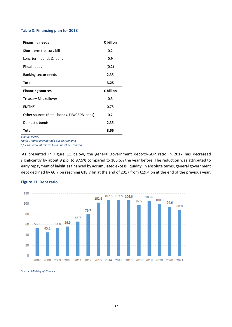#### **Table X: Financing plan for 2018**

| <b>Financing needs</b>                       | € billion |
|----------------------------------------------|-----------|
| Short term treasury bills                    | 0.2       |
| Long-term bonds & loans                      | 0.9       |
| <b>Fiscal needs</b>                          | (0.2)     |
| Banking sector needs                         | 2.35      |
| <b>Total</b>                                 | 3.25      |
| <b>Financing sources</b>                     | € billion |
| Treasury Bills rollover                      | 0.3       |
| $FMTN^{1/2}$                                 | 0.75      |
| Other sources (Retail bonds. EIB/CEDB loans) | 0.2       |
| Domestic bonds                               | 2.35      |
| <b>Total</b>                                 | 3.55      |

*Source: PDMO* 

*Note: Figures may not add due to rounding* 

*1/ = The amount relates to the baseline scenario.* 

 As presented in Figure 11 below, the general government debt-to-GDP ratio in 2017 has decreased significantly by about 9 p.p. to 97.5% compared to 106.6% the year before. The reduction was attributed to early repayment of liabilities financed by accumulated excess liquidity. In absolute terms, general government debt declined by €0.7 bn reaching €18.7 bn at the end of 2017 from €19.4 bn at the end of the previous year.



#### **Figure 11: Debt ratio**

*Source: Ministry of Finance*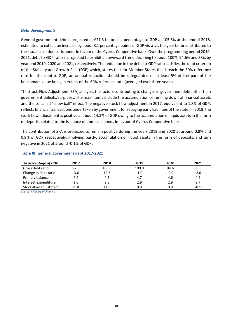#### *Debt developments*

General government debt is projected at €21.3 bn or as a percentage to GDP at 105.6% at the end of 2018, estimated to exhibit an increase by about 8.1 percentage points of GDP vis-à-vis the year before, attributed to the issuance of domestic bonds in favour of the Cyprus Cooperative bank. Over the programming period 2019- 2021, debt-to-GDP ratio is projected to exhibit a downward trend declining to about 100%, 94.6% and 88% by year end 2019, 2020 and 2021, respectively. The reduction in the debt-to-GDP ratio satisfies the debt criterion of the Stability and Growth Pact (SGP) which, states that for Member States that breach the 60% reference rate for the debt-to-GDP, an annual reduction should be safeguarded of at least 5% of the part of the benchmark value being in excess of the 60% reference rate (averaged over three years).

The Stock-Flow Adjustment (SFA) analyses the factors contributing to changes in government debt, other than government deficits/surpluses. The main items include the accumulation or running down of financial assets and the so called "snow ball" effect. The negative stock flow adjustment in 2017, equivalent to 1.8% of GDP, reflects financial transactions undertaken by government for repaying early liabilities of the state. In 2018, the stock flow adjustment is positive at about 14.3% of GDP owing to the accumulation of liquid assets in the form of deposits related to the issuance of domestic bonds in favour of Cyprus Cooperative bank.

The contribution of SFA is projected to remain positive during the years 2019 and 2020 at around 0.8% and 0.9% of GDP respectively, implying, partly, accumulation of liquid assets in the form of deposits, and turn negative in 2021 at around -0.1% of GDP.

| in percentage of GDP  | 2017   | 2018  | 2019   | 2020   | 2021   |
|-----------------------|--------|-------|--------|--------|--------|
| Gross debt ratio      | 97.5   | 105.6 | 100.0  | 94.6   | 88.0   |
| Change in debt ratio  | $-3.6$ | 12.6  | $-1.0$ | $-0.9$ | $-2.0$ |
| Primary balance       | 4.4    | 4.5   | 4.7    | 4.6    | 4.6    |
| Interest expenditure  | 2.6    | 2.8   | 2.9    | 2.9    | 2.7    |
| Stock-flow adjustment | $-1.8$ | 14.3  | 0.8    | 0.9    | $-0.1$ |

#### **Table XI: General government debt 2017-2021**

*Source: Ministry of Finance*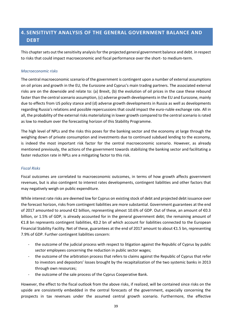# <span id="page-38-0"></span>**4. SENSITIVITY ANALYSIS OF THE GENERAL GOVERNMENT BALANCE AND DEBT**

This chapter sets out the sensitivity analysis for the projected general government balance and debt. in respect to risks that could impact macroeconomic and fiscal performance over the short- to medium-term.

## *Macroeconomic risks*

The central macroeconomic scenario of the government is contingent upon a number of external assumptions on oil prices and growth in the EU, the Eurozone and Cyprus's main trading partners. The associated external risks are on the downside and relate to: (a) Brexit, (b) the evolution of oil prices in the case these rebound faster than the central scenario assumption, (c) adverse growth developments in the EU and Eurozone, mainly due to effects from US policy stance and (d) adverse growth developments in Russia as well as developments regarding Russia's relations and possible repercussions that could impact the euro-ruble exchange rate. All in all, the probability of the external risks materializing in lower growth compared to the central scenario is rated as low to medium over the forecasting horizon of this Stability Programme.

The high level of NPLs and the risks this poses for the banking sector and the economy at large through the weighing down of private consumption and investments due to continued subdued lending to the economy, is indeed the most important risk factor for the central macroeconomic scenario. However, as already mentioned previously, the actions of the government towards stabilizing the banking sector and facilitating a faster reduction rate in NPLs are a mitigating factor to this risk.

## *Fiscal Risks*

Fiscal outcomes are correlated to macroeconomic outcomes, in terms of how growth affects government revenues, but is also contingent to interest rates developments, contingent liabilities and other factors that may negatively weigh on public expenditure.

While interest rate risks are deemed low for Cyprus on existing stock of debt and projected debt issuance over the forecast horizon, risks from contingent liabilities are more substantial. Government guarantees at the end of 2017 amounted to around €2 billion, representing almost 10.6% of GDP. Out of these, an amount of €0.3 billion, or 1.5% of GDP, is already accounted for in the general government debt; the remaining amount of €1.8 bn represents contingent liabilities, €0.2 bn of which account for liabilities connected to the European Financial Stability Facility. Net of these, guarantees at the end of 2017 amount to about €1.5 bn, representing 7.9% of GDP. Further contingent liabilities concern:

- the outcome of the judicial process with respect to litigation against the Republic of Cyprus by public sector employees concerning the reduction in public sector wages;
- the outcome of the arbitration process that refers to claims against the Republic of Cyprus that refer to investors and depositors' losses brought by the recapitalization of the two systemic banks in 2013 through own resources;
- the outcome of the sale process of the Cyprus Cooperative Bank.

However, the effect to the fiscal outlook from the above risks, if realized, will be contained since risks on the upside are consistently embedded in the central forecasts of the government, especially concerning the prospects in tax revenues under the assumed central growth scenario. Furthermore, the effective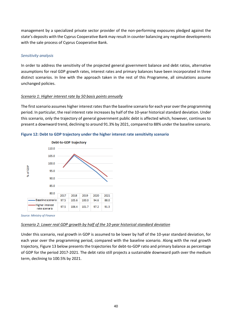management by a specialized private sector provider of the non-performing exposures pledged against the state's deposits with the Cyprus Cooperative Bank may result in counter balancing any negative developments with the sale process of Cyprus Cooperative Bank.

## *Sensitivity analysis*

In order to address the sensitivity of the projected general government balance and debt ratios, alternative assumptions for real GDP growth rates, interest rates and primary balances have been incorporated in three distinct scenarios. In line with the approach taken in the rest of this Programme, all simulations assume unchanged policies.

## *Scenario 1: Higher interest rate by 50 basis points annually*

The first scenario assumes higher interest rates than the baseline scenario for each year over the programming period. In particular, the real interest rate increases by half of the 10-year historical standard deviation. Under this scenario, only the trajectory of general government public debt is affected which, however, continues to present a downward trend, declining to around 91.3% by 2021, compared to 88% under the baseline scenario.



**Figure 12: Debt to GDP trajectory under the higher interest rate sensitivity scenario** 

*Source: Ministry of Finance* 

#### *Scenario 2: Lower real GDP growth by half of the 10-year historical standard deviation*

Under this scenario, real growth in GDP is assumed to be lower by half of the 10-year standard deviation, for each year over the programming period, compared with the baseline scenario. Along with the real growth trajectory, Figure 13 below presents the trajectories for debt-to-GDP ratio and primary balance as percentage of GDP for the period 2017-2021. The debt ratio still projects a sustainable downward path over the medium term, declining to 100.5% by 2021.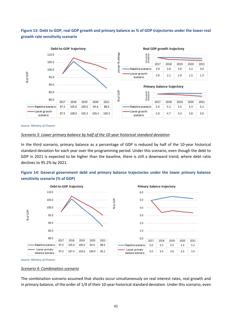# **Figure 13: Debt to GDP, real GDP growth and primary balance as % of GDP trajectories under the lower real growth rate sensitivity scenario**



*Source: Ministry of Finance* 

#### *Scenario 3: Lower primary balance by half of the 10-year historical standard deviation*

In the third scenario, primary balance as a percentage of GDP is reduced by half of the 10-year historical standard deviation for each year over the programming period. Under this scenario, even though the debt to GDP in 2021 is expected to be higher than the baseline, there is still a downward trend, where debt ratio declines to 95.2% by 2021.

## **Figure 14: General government debt and primary balance trajectories under the lower primary balance sensitivity scenario (% of GDP)**



*Source: Ministry of Finance* 

#### *Scenario 4: Combination scenario*

The combination scenario assumed that shocks occur simultaneously on real interest rates, real growth and in primary balance, of the order of 1/4 of their 10-year historical standard deviation. Under this scenario, even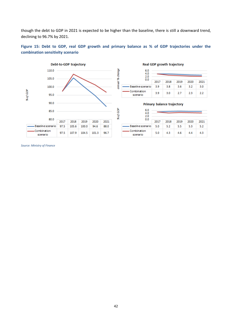though the debt to GDP in 2021 is expected to be higher than the baseline, there is still a downward trend, declining to 96.7% by 2021.





#### Real GDP growth trajectory

| 6.0<br>4.0<br>2.0       |      |      |      |      |      |
|-------------------------|------|------|------|------|------|
| 0.0                     | 2017 | 2018 | 2019 | 2020 | 2021 |
| Baseline scenario       | 39   | 3.8  | 3.6  | 3.2  | 3.0  |
| Combination<br>scenario | 3.9  | 3.0  | 27   | 23   | フフ   |

#### Primary balance trajectory



*Source: Ministry of Finance*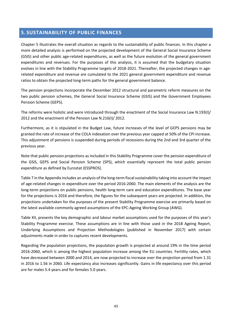# <span id="page-42-0"></span>**5. SUSTAINABILITY OF PUBLIC FINANCES**

Chapter 5 illustrates the overall situation as regards to the sustainability of public finances. In this chapter a more detailed analysis is performed on the projected development of the General Social Insurance Scheme (GSIS) and other public age-related expenditures, as well as the future evolution of the general government expenditures and revenues. For the purposes of this analysis, it is assumed that the budgetary situation evolves in line with the Stability Programme targets of 2018-2021. Thereafter, the projected changes in agerelated expenditure and revenue are cumulated to the 2021 general government expenditure and revenue ratios to obtain the projected long-term paths for the general government balance.

The pension projections incorporate the December 2012 structural and parametric reform measures on the two public pension schemes, the General Social Insurance Scheme (GSIS) and the Government Employees Pension Scheme (GEPS).

The reforms were holistic and were introduced through the enactment of the Social Insurance Law N.193(I)/ 2012 and the enactment of the Pension Law N.216(I)/ 2012.

Furthermore, as it is stipulated in the Budget Law, future increases of the level of GEPS pensions may be granted the rate of increase of the COLA indexation over the previous year capped at 50% of the CPI increase. This adjustment of pensions is suspended during periods of recessions during the 2nd and 3rd quarter of the previous year.

Note that public pension projections as included in this Stability Programme cover the pension expenditure of the GSIS, GEPS and Social Pension Scheme (SPS), which essentially represent the total public pension expenditure as defined by Eurostat (ESSPROS).

Table 7 in the Appendix includes an analysis of the long-term fiscal sustainability taking into account the impact of age-related changes in expenditure over the period 2016-2060. The main elements of the analysis are the long-term projections on public pensions, health long-term care and education expenditures. The base year for the projections is 2016 and therefore, the figures for the subsequent years are projected. In addition, the projections undertaken for the purposes of the present Stability Programme exercise are primarily based on the latest available commonly agreed assumptions of the EPC-Ageing Working Group (AWG).

Table XII, presents the key demographic and labour market assumptions used for the purposes of this year's Stability Programme exercise. These assumptions are in line with those used in the 2018 Ageing Report, Underlying Assumptions and Projection Methodologies (published in November 2017) with certain adjustments made in order to captures recent developments.

Regarding the population projections, the population growth is projected at around 19% in the time period 2016-2060, which is among the highest population increase among the EU countries. Fertility rates, which have decreased between 2000 and 2014, are now projected to increase over the projection period from 1.31 in 2016 to 1.56 in 2060. Life expectancy also increases significantly. Gains in life expectancy over this period are for males 5.4 years and for females 5.0 years.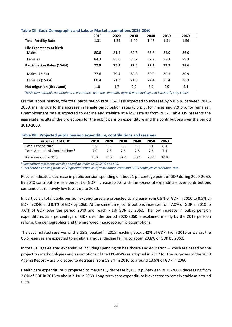|                                    | 2016 | 2020 | 2030 | 2040 | 2050 | 2060 |
|------------------------------------|------|------|------|------|------|------|
| <b>Total Fertility Rate</b>        | 1.31 | 1.35 | 1.40 | 1.45 | 1.51 | 1.56 |
| Life Expectancy at birth           |      |      |      |      |      |      |
| Males                              | 80.6 | 81.4 | 82.7 | 83.8 | 84.9 | 86.0 |
| <b>Females</b>                     | 84.3 | 85.0 | 86.2 | 87.2 | 88.3 | 89.3 |
| <b>Participation Rates (15-64)</b> | 72.9 | 75.2 | 77.0 | 77.1 | 77.9 | 78.6 |
| Males (15-64)                      | 77.6 | 79.4 | 80.2 | 80.0 | 80.5 | 80.9 |
| Females (15-64)                    | 68.4 | 71.3 | 74.0 | 74.4 | 75.4 | 76.3 |
| Net migration (thousand)           | 1.0  | 1.7  | 2.9  | 3.9  | 4.9  | 4.4  |

#### **Table XII: Basic Demographic and Labour Market assumptions 2016-2060**

 *\*Basic Demographic assumptions in accordance with the commonly agreed methodology and Eurostat's projections*

On the labour market, the total participation rate (15-64) is expected to increase by 5.8 p.p. between 2016- 2060, mainly due to the increase in female participation rates (3.3 p.p. for males and 7.9 p.p. for females). Unemployment rate is expected to decline and stabilize at a low rate as from 2032. Table XIV presents the aggregate results of the projections for the public pension expenditure and the contributions over the period 2010-2060.

#### **Table XIII: Projected public pension expenditure, contributions and reserves**

| in per cent of GDP                         | 2010 | 2020 | 2030 | 2040 | 2050 | 2060 |
|--------------------------------------------|------|------|------|------|------|------|
| Total Expenditure <sup>1</sup>             | 6.9  | 9.2  | 8.8  | 8.5  | 8.1  | 8.1  |
| Total Amount of Contributions <sup>2</sup> | 7 N  | 7 ੨  | 75   | 76   |      |      |
| Reserves of the GSIS                       | 36.2 | 359  | 32.6 | 30.4 | 28.6 | 20.8 |

*<sup>1</sup>Expenditure represents pension spending under GSIS, GEPS and SPS.* 

*<sup>2</sup>Contributions arising from GSIS legislated schedule of contribution rates and GEPS employee contribution rate.* 

Results indicate a decrease in public pension spending of about 1 percentage point of GDP during 2020-2060. By 2040 contributions as a percent of GDP increase to 7.6 with the excess of expenditure over contributions contained at relatively low levels up to 2060.

In particular, total public pension expenditures are projected to increase from 6.9% of GDP in 2010 to 8.5% of GDP in 2040 and 8.1% of GDP by 2060. At the same time, contributions increase from 7.0% of GDP in 2010 to 7.6% of GDP over the period 2040 and reach 7.1% GDP by 2060. The low increase in public pension expenditures as a percentage of GDP over the period 2020-2060 is explained mainly by the 2012 pension reform, the demographics and the improved macroeconomic assumptions.

The accumulated reserves of the GSIS, peaked in 2015 reaching about 42% of GDP. From 2015 onwards, the GSIS reserves are expected to exhibit a gradual decline falling to about 20.8% of GDP by 2060.

In total, all age-related expenditure including spending on healthcare and education – which are based on the projection methodologies and assumptions of the EPC-AWG as adopted in 2017 for the purposes of the 2018 Ageing Report – are projected to decrease from 18.3% in 2010 to around 13.9% of GDP in 2060.

Health care expenditure is projected to marginally decrease by 0.7 p.p. between 2016-2060, decreasing from 2.8% of GDP in 2016 to about 2.1% in 2060. Long-term care expenditure is expected to remain stable at around 0.3%.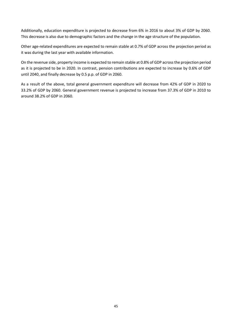Additionally, education expenditure is projected to decrease from 6% in 2016 to about 3% of GDP by 2060. This decrease is also due to demographic factors and the change in the age structure of the population.

Other age-related expenditures are expected to remain stable at 0.7% of GDP across the projection period as it was during the last year with available information.

On the revenue side, property income is expected to remain stable at 0.8% of GDP across the projection period as it is projected to be in 2020. In contrast, pension contributions are expected to increase by 0.6% of GDP until 2040, and finally decrease by 0.5 p.p. of GDP in 2060.

As a result of the above, total general government expenditure will decrease from 42% of GDP in 2020 to 33.2% of GDP by 2060. General government revenue is projected to increase from 37.3% of GDP in 2010 to around 38.2% of GDP in 2060.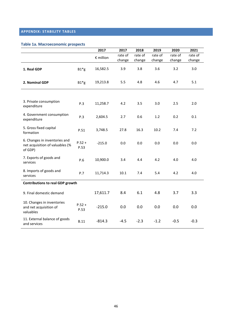# <span id="page-45-0"></span>**APPENDIX: STABILITY TABLES**

## **Table 1a. Macroeconomic prospects**

|                                                                             |                  | 2017               | 2017    | 2018    | 2019    | 2020    | 2021    |
|-----------------------------------------------------------------------------|------------------|--------------------|---------|---------|---------|---------|---------|
|                                                                             |                  | $\epsilon$ million | rate of | rate of | rate of | rate of | rate of |
|                                                                             |                  |                    | change  | change  | change  | change  | change  |
| 1. Real GDP                                                                 | $B1*g$           | 16,582.5           | 3.9     | 3.8     | 3.6     | 3.2     | 3.0     |
| 2. Nominal GDP                                                              | $B1*g$           | 19,213.8           | 5.5     | 4.8     | 4.6     | 4.7     | 5.1     |
|                                                                             |                  |                    |         |         |         |         |         |
| 3. Private consumption<br>expenditure                                       | P.3              | 11,258.7           | 4.2     | 3.5     | 3.0     | 2.5     | 2.0     |
| 4. Government consumption<br>expenditure                                    | P.3              | 2,604.5            | 2.7     | 0.6     | 1.2     | 0.2     | 0.1     |
| 5. Gross fixed capital<br>formation                                         | P.51             | 3,748.5            | 27.8    | 16.3    | 10.2    | 7.4     | 7.2     |
| 6. Changes in inventories and<br>net acquisition of valuables (%<br>of GDP) | $P.52 +$<br>P.53 | $-215.0$           | 0.0     | 0.0     | 0.0     | 0.0     | 0.0     |
| 7. Exports of goods and<br>services                                         | P.6              | 10,900.0           | 3.4     | 4.4     | 4.2     | 4.0     | 4.0     |
| 8. Imports of goods and<br>services                                         | P.7              | 11,714.3           | 10.1    | 7.4     | 5.4     | 4.2     | 4.0     |
| <b>Contributions to real GDP growth</b>                                     |                  |                    |         |         |         |         |         |
| 9. Final domestic demand                                                    |                  | 17,611.7           | 8.4     | 6.1     | 4.8     | 3.7     | 3.3     |
| 10. Changes in inventories<br>and net acquisition of<br>valuables           | $P.52 +$<br>P.53 | $-215.0$           | 0.0     | 0.0     | 0.0     | 0.0     | 0.0     |
| 11. External balance of goods<br>and services                               | <b>B.11</b>      | $-814.3$           | $-4.5$  | $-2.3$  | $-1.2$  | $-0.5$  | $-0.3$  |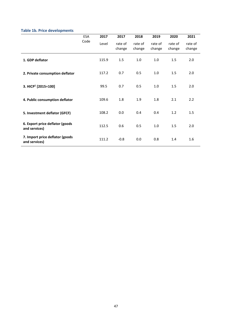# **Table 1b. Price developments**

|                                                  | ESA  | 2017  | 2017              | 2018              | 2019              | 2020              | 2021              |
|--------------------------------------------------|------|-------|-------------------|-------------------|-------------------|-------------------|-------------------|
|                                                  | Code | Level | rate of<br>change | rate of<br>change | rate of<br>change | rate of<br>change | rate of<br>change |
| 1. GDP deflator                                  |      | 115.9 | 1.5               | 1.0               | 1.0               | 1.5               | 2.0               |
| 2. Private consumption deflator                  |      | 117.2 | 0.7               | 0.5               | 1.0               | 1.5               | 2.0               |
| 3. HICP <sup>1</sup> [2015=100]                  |      | 99.5  | 0.7               | 0.5               | 1.0               | 1.5               | 2.0               |
| 4. Public consumption deflator                   |      | 109.6 | 1.8               | 1.9               | 1.8               | 2.1               | 2.2               |
| 5. Investment deflator (GFCF)                    |      | 108.2 | 0.0               | 0.4               | 0.4               | 1.2               | 1.5               |
| 6. Export price deflator (goods<br>and services) |      | 112.5 | 0.6               | 0.5               | 1.0               | 1.5               | 2.0               |
| 7. Import price deflator (goods<br>and services) |      | 111.2 | $-0.8$            | 0.0               | 0.8               | 1.4               | 1.6               |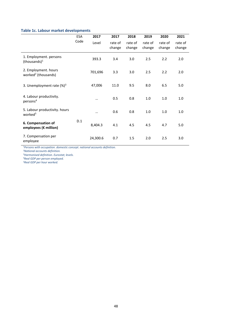# **Table 1c. Labour market developments**

|                                                         | <b>ESA</b> | 2017      | 2017              | 2018              | 2019              | 2020              | 2021              |
|---------------------------------------------------------|------------|-----------|-------------------|-------------------|-------------------|-------------------|-------------------|
|                                                         | Code       | Level     | rate of<br>change | rate of<br>change | rate of<br>change | rate of<br>change | rate of<br>change |
| 1. Employment. persons<br>(thousands) <sup>1</sup>      |            | 393.3     | 3.4               | 3.0               | 2.5               | 2.2               | 2.0               |
| 2. Employment. hours<br>worked <sup>2</sup> (thousands) |            | 701,696   | 3.3               | 3.0               | 2.5               | 2.2               | 2.0               |
| 3. Unemployment rate $(\%)^3$                           |            | 47,006    | 11.0              | 9.5               | 8.0               | 6.5               | 5.0               |
| 4. Labour productivity.<br>persons <sup>4</sup>         |            | $\cdots$  | 0.5               | 0.8               | 1.0               | 1.0               | 1.0               |
| 5. Labour productivity. hours<br>worked <sup>5</sup>    |            | $\ddotsc$ | 0.6               | 0.8               | 1.0               | 1.0               | 1.0               |
| 6. Compensation of<br>employees (€ million)             | D.1        | 8,404.3   | 4.1               | 4.5               | 4.5               | 4.7               | 5.0               |
| 7. Compensation per<br>employee                         |            | 24,300.6  | 0.7               | 1.5               | 2.0               | 2.5               | 3.0               |

*<sup>1</sup>Persons with occupation. domestic concept. national accounts definition.*

*<sup>2</sup>National accounts definition.* 

*<sup>3</sup>Harmonised definition. Eurostat; levels.* 

*<sup>4</sup>Real GDP per person employed.* 

*5Real GDP per hour worked.*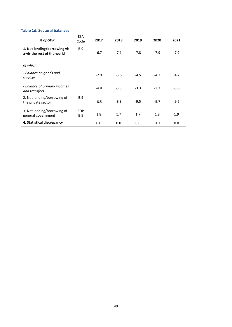## **Table 1d. Sectoral balances**

| % of GDP                                                     | <b>ESA</b><br>Code       | 2017   | 2018   | 2019   | 2020   | 2021   |
|--------------------------------------------------------------|--------------------------|--------|--------|--------|--------|--------|
| 1. Net lending/borrowing vis-<br>à-vis the rest of the world | <b>B.9</b>               | $-6.7$ | $-7.1$ | $-7.8$ | $-7.9$ | $-7.7$ |
| of which:                                                    |                          |        |        |        |        |        |
| - Balance on goods and<br>services                           |                          | $-2.0$ | $-3.6$ | $-4.5$ | $-4.7$ | $-4.7$ |
| - Balance of primary incomes<br>and transfers                |                          | $-4.8$ | $-3.5$ | $-3.3$ | $-3.2$ | $-3.0$ |
| 2. Net lending/borrowing of<br>the private sector            | <b>B.9</b>               | $-8.5$ | $-8.8$ | $-9.5$ | $-9.7$ | $-9.6$ |
| 3. Net lending/borrowing of<br>general government            | <b>EDP</b><br><b>B.9</b> | 1.8    | 1.7    | 1.7    | 1.8    | 1.9    |
| 4. Statistical discrepancy                                   |                          | 0.0    | 0.0    | 0.0    | 0.0    | 0.0    |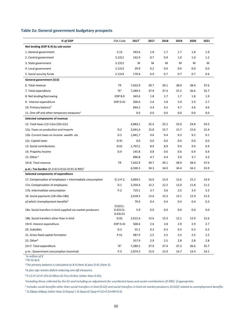#### **Table 2a: General government budgetary prospects**

| % of GDP                                                       | <b>ESA Code</b>                | 2017*   | 2017 | 2018 | 2019 | 2020 | 2021 |
|----------------------------------------------------------------|--------------------------------|---------|------|------|------|------|------|
| Net lending (EDP B.9) by sub-sector                            |                                |         |      |      |      |      |      |
| 1. General government                                          | S.13                           | 343.6   | 1.8  | 1.7  | 1.7  | 1.8  | 1.9  |
| 2. Central government                                          | S.1311                         | 142.9   | 0.7  | 0.9  | 1.0  | 1.0  | 1.2  |
| 3. State government                                            | S.1312                         | M       | M    | M    | М    | М    | М    |
| 4. Local government                                            | S.1313                         | 29.9    | 0.2  | 0.0  | 0.0  | 0.0  | 0.0  |
| 5. Social security funds                                       | S.1314                         | 170.8   | 0.9  | 0.7  | 0.7  | 0.7  | 0.6  |
| General government (S13)                                       |                                |         |      |      |      |      |      |
| 6. Total revenue                                               | TR                             | 7,632.9 | 39.7 | 39.1 | 38.9 | 38.4 | 37.6 |
| 7. Total expenditure                                           | TE <sup>1</sup>                | 7,289.3 | 37.9 | 37.4 | 37.2 | 36.6 | 35.7 |
| 8. Net lending/borrowing                                       | EDP B.9                        | 343.6   | 1.8  | 1.7  | 1.7  | 1.8  | 1.9  |
| 9. Interest expenditure                                        | EDP D.41                       | 500.6   | 2.6  | 2.8  | 2.9  | 2.9  | 2.7  |
| 10. Primary balance <sup>2</sup>                               |                                | 844.2   | 4.4  | 4.5  | 4.7  | 4.6  | 4.6  |
| 11. One-off and other temporary measures <sup>3</sup>          |                                | 0.0     | 0.0  | 0.0  | 0.0  | 0.0  | 0.0  |
| Selected components of revenue                                 |                                |         |      |      |      |      |      |
| 12. Total taxes (12=12a+12b+12c)                               |                                | 4,883,1 | 25.4 | 25.2 | 25.0 | 24.8 | 24.5 |
| 12a. Taxes on production and imports                           | D.2                            | 3,041,4 | 15.8 | 15.7 | 15.7 | 15.6 | 15.4 |
| 12b. Current taxes on income. wealth. etc.                     | D.5                            | 1,841,7 | 9.6  | 9.4  | 9.3  | 9.2  | 9.1  |
| 12c. Capital taxes                                             | D.91                           | 0.0     | 0.0  | 0.0  | 0.0  | 0.0  | 0.0  |
| 13. Social contributions                                       | D.61                           | 1,707,2 | 8.9  | 8.9  | 9.4  | 9.4  | 9.4  |
| 14. Property income                                            | D.4                            | 145.8   | 0.8  | 0.6  | 0.6  | 0.4  | 0.4  |
| 15. Other <sup>4</sup>                                         |                                | 896.8   | 4.7  | 4.4  | 3.9  | 3.7  | 3.3  |
| 16=6. Total revenue                                            | TR                             | 7,632.9 | 39.7 | 39.1 | 38.9 | 38.4 | 37.6 |
| <b>p.m.: Tax burden</b> (D.2+D.5+D.61+D.91-D.995) <sup>5</sup> |                                | 6,590.3 | 34.3 | 34.0 | 34.4 | 34.2 | 33.9 |
| Selected components of expenditure                             |                                |         |      |      |      |      |      |
| 17. Compensation of employees + intermediate consumption       | $D.1 + P.2$                    | 3,069.5 | 16.0 | 15.9 | 15.6 | 15.2 | 14.9 |
| 17a. Compensation of employees                                 | D.1                            | 2,350.4 | 12.2 | 12.2 | 12.0 | 11.8 | 11.5 |
| 17b. Intermediate consumption                                  | P.2                            | 719.1   | 3.7  | 3.6  | 3.5  | 3.4  | 3.3  |
| 18. Social payments (18=18a+18b)                               |                                | 2,618.3 | 13.6 | 13.3 | 13.1 | 12.9 | 12.6 |
| of which Unemployment benefits <sup>6</sup>                    |                                | 79.9    | 0.4  | 0.4  | 0.4  | 0.4  | 0.3  |
| 18a. Social transfers in kind supplied via market producers    | D.6311.<br>D.63121.<br>D.63131 | 5.9     | 0.0  | 0.0  | 0.0  | 0.0  | 0.0  |
| 18b. Social transfers other than in kind                       | D.62                           | 2,612.4 | 13.6 | 13.3 | 13.1 | 12.9 | 12.6 |
| 19=9. Interest expenditure                                     | EDP D.41                       | 500.6   | 2.6  | 2.8  | 2.9  | 2.9  | 2.7  |
| 20. Subsidies                                                  | D.3                            | 55.1    | 0.3  | 0.3  | 0.3  | 0.3  | 0.3  |
| 21. Gross fixed capital formation                              | P.51                           | 487.9   | 2.5  | 2.5  | 2.5  | 2.5  | 2.5  |
| 22. Other <sup>6</sup>                                         |                                | 557.9   | 2.9  | 2.5  | 2.8  | 2.8  | 2.8  |
| 23=7. Total expenditure                                        | TE <sup>1</sup>                | 7,289.3 | 37.9 | 37.4 | 37.2 | 36.6 | 35.7 |
| p.m.: Government consumption (nominal)                         | P.3                            | 2,874.3 | 15.0 | 15.0 | 14.7 | 14.4 | 14.1 |

*\* in million of € <sup>1</sup>TR-TE=B.9.* 

*<sup>2</sup>The primary balance is calculated as B.9 (item 4) plus D.41 (item 5).* 

*<sup>3</sup>A plus sign means deficit-reducing one-off measures.* 

*<sup>4</sup>P.11+P.12+P.131+D.39rec+D.7rec+D.9rec (other than D.91).* 

*5 Including those collected by the EU and including an adjustment for uncollected taxes and social contributions (D.995). if appropriate.* 

*6 Includes social benefits other than social transfers in kind (D.62) and social transfers in kind via market producers (D.632) related to unemployment benefits.* 

*7 D.29pay+D4pay (other than D.41pay) + D.5pay+D.7pay+P.52+P.53+NP+D.8.*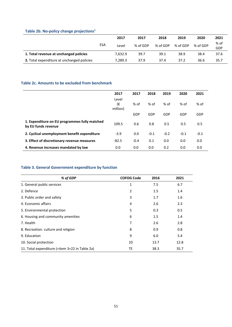# **Table 2b. No-policy change projections<sup>1</sup>**

|                                            |            |         | 2017     | 2018     | 2019     | 2020     | 2021        |
|--------------------------------------------|------------|---------|----------|----------|----------|----------|-------------|
|                                            | <b>ESA</b> | Level   | % of GDP | % of GDP | % of GDP | % of GDP | % of<br>GDP |
| 1. Total revenue at unchanged policies     |            | 7.632.9 | 39.7     | 39.1     | 38.9     | 38.4     | 37.6        |
| 2. Total expenditure at unchanged policies |            | 7.289.3 | 37.9     | 37.4     | 37.2     | 36.6     | 35.7        |

## **Table 2c. Amounts to be excluded from benchmark**

|                                                                      | 2017                    | 2017   | 2018   | 2019   | 2020   | 2021   |
|----------------------------------------------------------------------|-------------------------|--------|--------|--------|--------|--------|
|                                                                      | Level<br>(€<br>million) | % of   | % of   | % of   | % of   | % of   |
|                                                                      |                         | GDP    | GDP    | GDP    | GDP    | GDP    |
| 1. Expenditure on EU programmes fully matched<br>by EU funds revenue | 109.5                   | 0.6    | 0.8    | 0.5    | 0.5    | 0.5    |
| 2. Cyclical unemployment benefit expenditure                         | $-3.9$                  | 0.0    | $-0.1$ | $-0.2$ | $-0.1$ | $-0.1$ |
| 3. Effect of discretionary revenue measures                          | $-82.5$                 | $-0.4$ | 0.1    | 0.0    | 0.0    | 0.0    |
| 4. Revenue increases mandated by law                                 | 0.0                     | 0.0    | 0.0    | 0.2    | 0.0    | 0.0    |

# **Table 3. General Government expenditure by function**

| % of GDP                                       | <b>COFOG Code</b> | 2016 | 2021 |
|------------------------------------------------|-------------------|------|------|
| 1. General public services                     | 1                 | 7.5  | 6.7  |
| 2. Defence                                     | 2                 | 1.5  | 1.4  |
| 3. Public order and safety                     | 3                 | 1.7  | 1.6  |
| 4. Economic affairs                            | 4                 | 2.6  | 2.3  |
| 5. Environmental protection                    | 5                 | 0.3  | 0.5  |
| 6. Housing and community amenities             | 6                 | 1.5  | 1.4  |
| 7. Health                                      | 7                 | 2.6  | 2.8  |
| 8. Recreation. culture and religion            | 8                 | 0.9  | 0.8  |
| 9. Education                                   | 9                 | 6.0  | 5.4  |
| 10. Social protection                          | 10                | 13.7 | 12.8 |
| 11. Total expenditure (=item 3=22 in Table 2a) | TE                | 38.3 | 35.7 |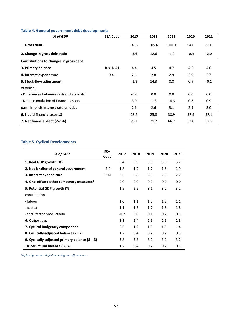| % of GDP                                | <b>ESA Code</b> | 2017   | 2018   | 2019   | 2020   | 2021   |
|-----------------------------------------|-----------------|--------|--------|--------|--------|--------|
| 1. Gross debt                           |                 | 97.5   | 105.6  | 100.0  | 94.6   | 88.0   |
| 2. Change in gross debt ratio           |                 | $-3.6$ | 12.6   | $-1.0$ | $-0.9$ | $-2.0$ |
| Contributions to changes in gross debt  |                 |        |        |        |        |        |
| 3. Primary balance                      | $B.9+D.41$      | 4.4    | 4.5    | 4.7    | 4.6    | 4.6    |
| 4. Interest expenditure                 | D.41            | 2.6    | 2.8    | 2.9    | 2.9    | 2.7    |
| 5. Stock-flow adjustment                |                 | $-1.8$ | 14.3   | 0.8    | 0.9    | $-0.1$ |
| of which:                               |                 |        |        |        |        |        |
| - Differences between cash and accruals |                 | $-0.6$ | 0.0    | 0.0    | 0.0    | 0.0    |
| - Net accumulation of financial assets  |                 | 3.0    | $-1.3$ | 14.3   | 0.8    | 0.9    |
| p.m.: Implicit interest rate on debt    |                 | 2.6    | 2.6    | 3.1    | 2.9    | 3.0    |
| 6. Liquid financial assets8             |                 | 28.5   | 25.8   | 38.9   | 37.9   | 37.1   |
| 7. Net financial debt $(7=1-6)$         |                 | 78.1   | 71.7   | 66.7   | 62.0   | 57.5   |

## **Table 4. General government debt developments**

## **Table 5. Cyclical Developments**

| % of GDP                                         | <b>ESA</b><br>Code | 2017   | 2018 | 2019 | 2020 | 2021 |
|--------------------------------------------------|--------------------|--------|------|------|------|------|
| 1. Real GDP growth (%)                           |                    | 3.4    | 3.9  | 3.8  | 3.6  | 3.2  |
| 2. Net lending of general government             | <b>B.9</b>         | 1.8    | 1.7  | 1.7  | 1.8  | 1.9  |
| 3. Interest expenditure                          | D.41               | 2.6    | 2.8  | 2.9  | 2.9  | 2.7  |
| 4. One-off and other temporary measures $1$      |                    | 0.0    | 0.0  | 0.0  | 0.0  | 0.0  |
| 5. Potential GDP growth (%)                      |                    | 1.9    | 2.5  | 3.1  | 3.2  | 3.2  |
| contributions:                                   |                    |        |      |      |      |      |
| - labour                                         |                    | 1.0    | 1.1  | 1.3  | 1.2  | 1.1  |
| - capital                                        |                    | 1.1    | 1.5  | 1.7  | 1.8  | 1.8  |
| - total factor productivity                      |                    | $-0.2$ | 0.0  | 0.1  | 0.2  | 0.3  |
| 6. Output gap                                    |                    | 1.1    | 2.4  | 2.9  | 2.9  | 2.8  |
| 7. Cyclical budgetary component                  |                    | 0.6    | 1.2  | 1.5  | 1.5  | 1.4  |
| 8. Cyclically-adjusted balance (2 - 7)           |                    | 1.2    | 0.4  | 0.2  | 0.2  | 0.5  |
| 9. Cyclically-adjusted primary balance $(8 + 3)$ |                    | 3.8    | 3.3  | 3.2  | 3.1  | 3.2  |
| 10. Structural balance (8 - 4)                   |                    | 1.2    | 0.4  | 0.2  | 0.2  | 0.5  |

*<sup>1</sup>A plus sign means deficit-reducing one-off measures*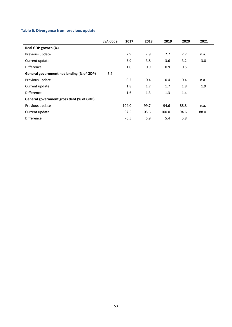# **Table 6. Divergence from previous update**

|                                           | <b>ESA Code</b> | 2017   | 2018  | 2019  | 2020 | 2021 |
|-------------------------------------------|-----------------|--------|-------|-------|------|------|
| Real GDP growth (%)                       |                 |        |       |       |      |      |
| Previous update                           |                 | 2.9    | 2.9   | 2.7   | 2.7  | n.a. |
| Current update                            |                 | 3.9    | 3.8   | 3.6   | 3.2  | 3.0  |
| <b>Difference</b>                         |                 | 1.0    | 0.9   | 0.9   | 0.5  |      |
| General government net lending (% of GDP) | <b>B.9</b>      |        |       |       |      |      |
| Previous update                           |                 | 0.2    | 0.4   | 0.4   | 0.4  | n.a. |
| Current update                            |                 | 1.8    | 1.7   | 1.7   | 1.8  | 1.9  |
| <b>Difference</b>                         |                 | 1.6    | 1.3   | 1.3   | 1.4  |      |
| General government gross debt (% of GDP)  |                 |        |       |       |      |      |
| Previous update                           |                 | 104.0  | 99.7  | 94.6  | 88.8 | n.a. |
| Current update                            |                 | 97.5   | 105.6 | 100.0 | 94.6 | 88.0 |
| Difference                                |                 | $-6.5$ | 5.9   | 5.4   | 5.8  |      |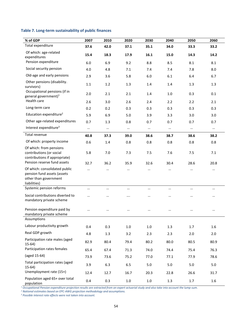# **Table 7. Long-term sustainability of public finances**

| % of GDP                                                                                                                                                                                       | 2007        | 2010        | 2020        | 2030        | 2040        | 2050        | 2060        |
|------------------------------------------------------------------------------------------------------------------------------------------------------------------------------------------------|-------------|-------------|-------------|-------------|-------------|-------------|-------------|
| Total expenditure                                                                                                                                                                              | 37.6        | 42.0        | 37.1        | 35.1        | 34.0        | 33.3        | 33.2        |
| Of which: age-related<br>expenditures                                                                                                                                                          | 15.4        | 18.3        | 17.9        | 16.1        | 15.0        | 14.3        | 14.2        |
| Pension expenditure                                                                                                                                                                            | 6.0         | 6.9         | 9.2         | 8.8         | 8.5         | 8.1         | 8.1         |
| Social security pension                                                                                                                                                                        | 4.0         | 4.8         | 7.1         | 7.4         | 7.4         | 7.8         | 8.0         |
| Old-age and early pensions                                                                                                                                                                     | 2.9         | 3.6         | 5.8         | 6.0         | 6.1         | 6.4         | 6.7         |
| Other pensions (disability.<br>survivors)                                                                                                                                                      | 1.1         | 1.2         | 1.3         | 1.4         | 1.4         | 1.3         | 1.3         |
| Occupational pensions (if in<br>general government) <sup>1</sup>                                                                                                                               | 2.0         | 2.1         | 2.1         | 1.4         | 1.0         | 0.3         | 0.1         |
| Health care                                                                                                                                                                                    | 2.6         | 3.0         | 2.6         | 2.4         | 2.2         | 2.2         | 2.1         |
| Long-term care                                                                                                                                                                                 | 0.2         | 0.2         | 0.3         | 0.3         | 0.3         | 0.3         | 0.3         |
| Education expenditure <sup>2</sup>                                                                                                                                                             | 5.9         | 6.9         | 5.0         | 3.9         | 3.3         | 3.0         | 3.0         |
| Other age-related expenditures                                                                                                                                                                 | 0.7         | 1.3         | 0.8         | 0.7         | 0.7         | 0.7         | 0.7         |
| Interest expenditure <sup>3</sup>                                                                                                                                                              | $\cdots$    | $\cdots$    | $\cdots$    | $\cdots$    | $\cdots$    | $\cdots$    | $\cdots$    |
| Total revenue                                                                                                                                                                                  | 40.8        | 37.3        | 39.0        | 38.6        | 38.7        | 38.6        | 38.2        |
| Of which: property income                                                                                                                                                                      | 0.6         | 1.4         | 0.8         | 0.8         | 0.8         | 0.8         | 0.8         |
| Of which: from pensions<br>contributions (or social<br>contributions if appropriate)<br>Pension reserve fund assets                                                                            | 5.8<br>32.7 | 7.0<br>36.2 | 7.3<br>35.9 | 7.5<br>32.6 | 7.6<br>30.4 | 7.5<br>28.6 | 7.1<br>20.8 |
| Of which: consolidated public<br>pension fund assets (assets<br>other than government<br>liabilities)                                                                                          | $\cdots$    | $\cdots$    | $\cdots$    | $\cdots$    | $\cdots$    | $\cdots$    | $\cdots$    |
| Systemic pension reforms                                                                                                                                                                       | $\cdots$    | $\cdots$    | $\cdots$    |             | $\cdots$    | $\cdots$    | $\cdots$    |
| Social contributions diverted to<br>mandatory private scheme                                                                                                                                   |             | $\cdots$    |             |             |             | $\cdots$    | $\cdots$    |
| Pension expenditure paid by<br>mandatory private scheme                                                                                                                                        |             |             |             |             |             |             |             |
| Assumptions                                                                                                                                                                                    |             |             |             |             |             |             |             |
| Labour productivity growth                                                                                                                                                                     | 0.4         | 0.3         | $1.0\,$     | $1.0\,$     | 1.3         | 1.7         | 1.6         |
| Real GDP growth                                                                                                                                                                                | 4.8         | 1.3         | 3.2         | 2.3         | 2.3         | 2.0         | 2.0         |
| Participation rate males (aged<br>$15-64)$                                                                                                                                                     | 82.9        | 80.4        | 79.4        | 80.2        | 80.0        | 80.5        | 80.9        |
| Participation rates females                                                                                                                                                                    | 65.4        | 67.4        | 71.3        | 74.0        | 74.4        | 75.4        | 76.3        |
| (aged 15-64)                                                                                                                                                                                   | 73.9        | 73.6        | 75.2        | 77.0        | 77.1        | 77.9        | 78.6        |
| Total participation rates (aged<br>$15-64)$                                                                                                                                                    | 3.9         | 6.3         | 6.5         | 5.0         | 5.0         | 5.0         | 5.0         |
| Unemployment rate (15+)                                                                                                                                                                        | 12.4        | 12.7        | 16.7        | 20.3        | 22.8        | 26.6        | 31.7        |
| Population aged 65+ over total<br>population<br>$^1$ Occupational Pension expenditure projection results are extracted from an expert actuarial study and also take into account the lump-sum. | 0.4         | 0.3         | $1.0\,$     | $1.0\,$     | 1.3         | 1.7         | 1.6         |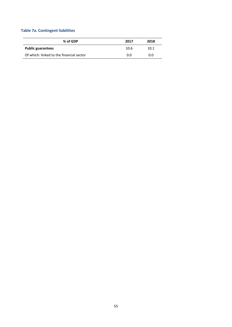# **Table 7a. Contingent liabilities**

| % of GDP                                 | 2017 | 2018 |
|------------------------------------------|------|------|
| <b>Public guarantees</b>                 | 10.6 | 10.1 |
| Of which: linked to the financial sector | 0.0  | 0.0  |